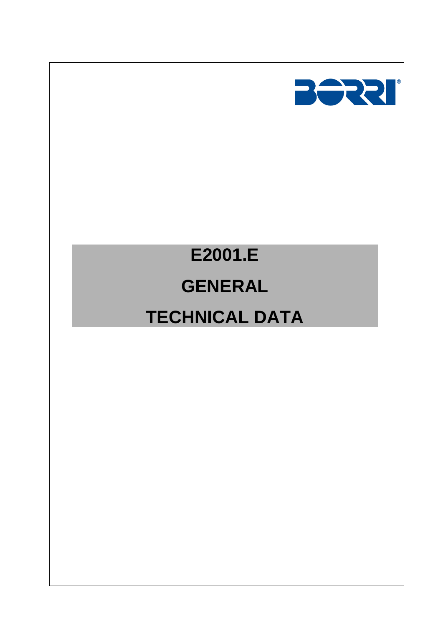

# **E2001.E GENERAL TECHNICAL DATA**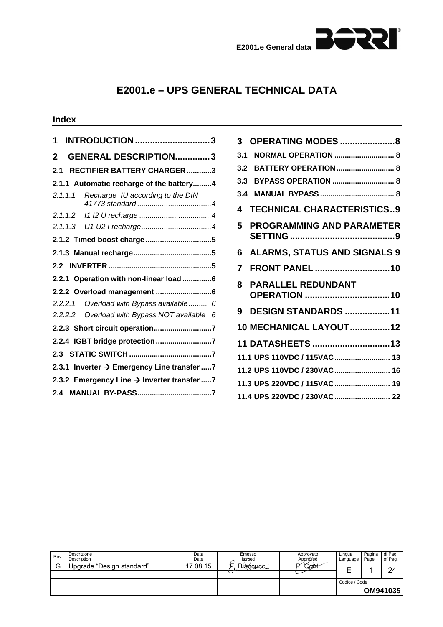

# **E2001.e – UPS GENERAL TECHNICAL DATA**

## **Index**

| <b>INTRODUCTION 3</b><br>1                      |
|-------------------------------------------------|
| <b>GENERAL DESCRIPTION3</b><br>2                |
| <b>RECTIFIER BATTERY CHARGER3</b><br>2.1        |
| 2.1.1 Automatic recharge of the battery4        |
| 2.1.1.1<br>Recharge IU according to the DIN     |
| 2.1.1.2                                         |
|                                                 |
|                                                 |
|                                                 |
|                                                 |
| 2.2.1 Operation with non-linear load 6          |
|                                                 |
| 2.2.2.1 Overload with Bypass available6         |
| Overload with Bypass NOT available 6<br>2.2.2.2 |
| 2.2.3 Short circuit operation7                  |
| 2.2.4 IGBT bridge protection 7                  |
|                                                 |
| 2.3.1 Inverter → Emergency Line transfer 7      |
| 2.3.2 Emergency Line → Inverter transfer 7      |
|                                                 |

| 3                           | <b>OPERATING MODES 8</b>                  |  |  |  |  |
|-----------------------------|-------------------------------------------|--|--|--|--|
| 3.1                         | <b>NORMAL OPERATION  8</b>                |  |  |  |  |
| 3.2                         | <b>BATTERY OPERATION  8</b>               |  |  |  |  |
| 3.3                         | <b>BYPASS OPERATION  8</b>                |  |  |  |  |
| 3.4                         |                                           |  |  |  |  |
| 4                           | <b>TECHNICAL CHARACTERISTICS9</b>         |  |  |  |  |
| 5                           | <b>PROGRAMMING AND PARAMETER</b>          |  |  |  |  |
| 6                           | <b>ALARMS, STATUS AND SIGNALS 9</b>       |  |  |  |  |
| 7                           | <b>FRONT PANEL 10</b>                     |  |  |  |  |
| 8                           | <b>PARALLEL REDUNDANT</b><br>OPERATION 10 |  |  |  |  |
| 9                           | <b>DESIGN STANDARDS 11</b>                |  |  |  |  |
|                             | <b>10 MECHANICAL LAYOUT12</b>             |  |  |  |  |
|                             | 11 DATASHEETS 13                          |  |  |  |  |
|                             | 11.1 UPS 110VDC / 115VAC 13               |  |  |  |  |
|                             | 11.2 UPS 110VDC / 230VAC 16               |  |  |  |  |
| 11.3 UPS 220VDC / 115VAC 19 |                                           |  |  |  |  |
|                             |                                           |  |  |  |  |

| Rev. | Descrizione<br>Description | Data<br>Date | Emesso<br>Issued | Approvato<br>Approved | Lingua<br>Language | Pagina<br>Page | di Pag.<br>of Pag. |
|------|----------------------------|--------------|------------------|-----------------------|--------------------|----------------|--------------------|
| G    | Upgrade "Design standard"  | 17.08.15     | Bianquicci       | /Conti                |                    |                | 24                 |
|      |                            |              |                  |                       |                    |                |                    |
|      |                            |              |                  |                       | Codice / Code      |                |                    |
|      |                            |              |                  |                       |                    |                | OM941035           |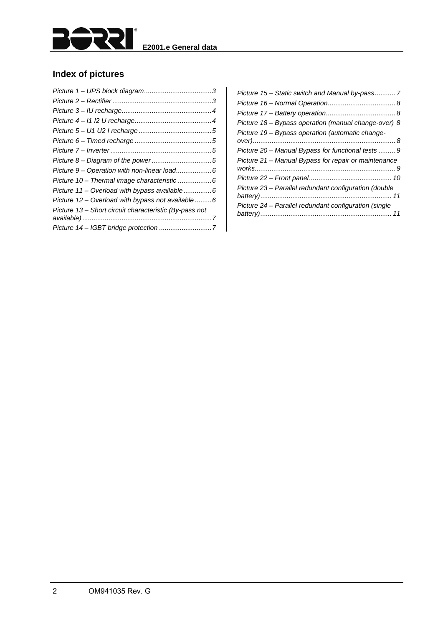

## **Index of pictures**

| Picture 9 – Operation with non-linear load6            |  |
|--------------------------------------------------------|--|
| Picture 10 - Thermal image characteristic 6            |  |
| Picture 11 – Overload with bypass available6           |  |
| Picture 12 – Overload with bypass not available6       |  |
| Picture 13 - Short circuit characteristic (By-pass not |  |
|                                                        |  |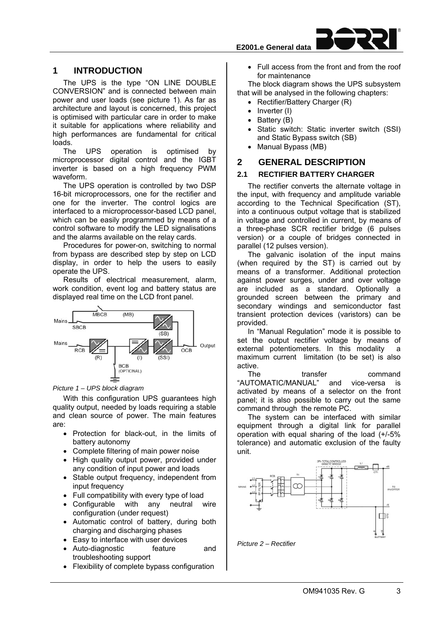## **1 INTRODUCTION**

The UPS is the type "ON LINE DOUBLE CONVERSION" and is connected between main power and user loads (see picture 1). As far as architecture and layout is concerned, this project is optimised with particular care in order to make it suitable for applications where reliability and high performances are fundamental for critical loads.

The UPS operation is optimised by microprocessor digital control and the IGBT inverter is based on a high frequency PWM waveform.

The UPS operation is controlled by two DSP 16-bit microprocessors, one for the rectifier and one for the inverter. The control logics are interfaced to a microprocessor-based LCD panel, which can be easily programmed by means of a control software to modify the LED signalisations and the alarms available on the relay cards.

Procedures for power-on, switching to normal from bypass are described step by step on LCD display, in order to help the users to easily operate the UPS.

Results of electrical measurement, alarm, work condition, event log and battery status are displayed real time on the LCD front panel.



#### *Picture 1 – UPS block diagram*

With this configuration UPS guarantees high quality output, needed by loads requiring a stable and clean source of power. The main features are:

- Protection for black-out, in the limits of battery autonomy
- Complete filtering of main power noise
- High quality output power, provided under any condition of input power and loads
- Stable output frequency, independent from input frequency
- Full compatibility with every type of load
- Configurable with any neutral wire configuration (under request)
- Automatic control of battery, during both charging and discharging phases
- Easy to interface with user devices
- Auto-diagnostic feature and troubleshooting support
- Flexibility of complete bypass configuration

 Full access from the front and from the roof for maintenance

The block diagram shows the UPS subsystem that will be analysed in the following chapters:

- Rectifier/Battery Charger (R)
- Inverter (I)
- $\bullet$  Battery (B)
- Static switch: Static inverter switch (SSI) and Static Bypass switch (SB)
- Manual Bypass (MB)

#### **2 GENERAL DESCRIPTION**

#### **2.1 RECTIFIER BATTERY CHARGER**

The rectifier converts the alternate voltage in the input, with frequency and amplitude variable according to the Technical Specification (ST), into a continuous output voltage that is stabilized in voltage and controlled in current, by means of a three-phase SCR rectifier bridge (6 pulses version) or a couple of bridges connected in parallel (12 pulses version).

The galvanic isolation of the input mains (when required by the ST) is carried out by means of a transformer. Additional protection against power surges, under and over voltage are included as a standard. Optionally a grounded screen between the primary and secondary windings and semiconductor fast transient protection devices (varistors) can be provided.

In "Manual Regulation" mode it is possible to set the output rectifier voltage by means of external potentiometers. In this modality a maximum current limitation (to be set) is also active.

The transfer command "AUTOMATIC/MANUAL" and vice-versa is activated by means of a selector on the front panel; it is also possible to carry out the same command through the remote PC.

The system can be interfaced with similar equipment through a digital link for parallel operation with equal sharing of the load (+/-5% tolerance) and automatic exclusion of the faulty unit.



*Picture 2 – Rectifier*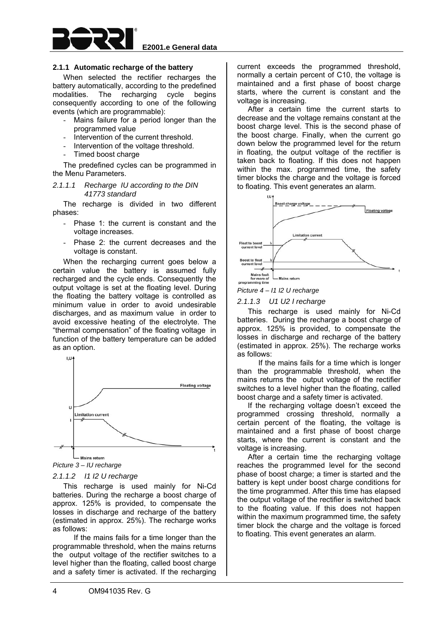

#### **2.1.1 Automatic recharge of the battery**

When selected the rectifier recharges the battery automatically, according to the predefined modalities. The recharging cycle begins consequently according to one of the following events (which are programmable):

- Mains failure for a period longer than the programmed value
- Intervention of the current threshold.
- Intervention of the voltage threshold.
- Timed boost charge

The predefined cycles can be programmed in the Menu Parameters.

#### *2.1.1.1 Recharge IU according to the DIN 41773 standard*

The recharge is divided in two different phases:

- Phase 1: the current is constant and the voltage increases.
- Phase 2: the current decreases and the voltage is constant.

When the recharging current goes below a certain value the battery is assumed fully recharged and the cycle ends. Consequently the output voltage is set at the floating level. During the floating the battery voltage is controlled as minimum value in order to avoid undesirable discharges, and as maximum value in order to avoid excessive heating of the electrolyte. The "thermal compensation" of the floating voltage in function of the battery temperature can be added as an option.



*Picture 3 – IU recharge* 

#### *2.1.1.2 I1 I2 U recharge*

This recharge is used mainly for Ni-Cd batteries. During the recharge a boost charge of approx. 125% is provided, to compensate the losses in discharge and recharge of the battery (estimated in approx. 25%). The recharge works as follows:

 If the mains fails for a time longer than the programmable threshold, when the mains returns the output voltage of the rectifier switches to a level higher than the floating, called boost charge and a safety timer is activated. If the recharging

current exceeds the programmed threshold, normally a certain percent of C10, the voltage is maintained and a first phase of boost charge starts, where the current is constant and the voltage is increasing.

After a certain time the current starts to decrease and the voltage remains constant at the boost charge level. This is the second phase of the boost charge. Finally, when the current go down below the programmed level for the return in floating, the output voltage of the rectifier is taken back to floating. If this does not happen within the max. programmed time, the safety timer blocks the charge and the voltage is forced to floating. This event generates an alarm.



*Picture 4 – I1 I2 U recharge* 

*2.1.1.3 U1 U2 I recharge* 

This recharge is used mainly for Ni-Cd batteries. During the recharge a boost charge of approx. 125% is provided, to compensate the losses in discharge and recharge of the battery (estimated in approx. 25%). The recharge works as follows:

 If the mains fails for a time which is longer than the programmable threshold, when the mains returns the output voltage of the rectifier switches to a level higher than the floating, called boost charge and a safety timer is activated.

If the recharging voltage doesn't exceed the programmed crossing threshold, normally a certain percent of the floating, the voltage is maintained and a first phase of boost charge starts, where the current is constant and the voltage is increasing.

After a certain time the recharging voltage reaches the programmed level for the second phase of boost charge; a timer is started and the battery is kept under boost charge conditions for the time programmed. After this time has elapsed the output voltage of the rectifier is switched back to the floating value. If this does not happen within the maximum programmed time, the safety timer block the charge and the voltage is forced to floating. This event generates an alarm.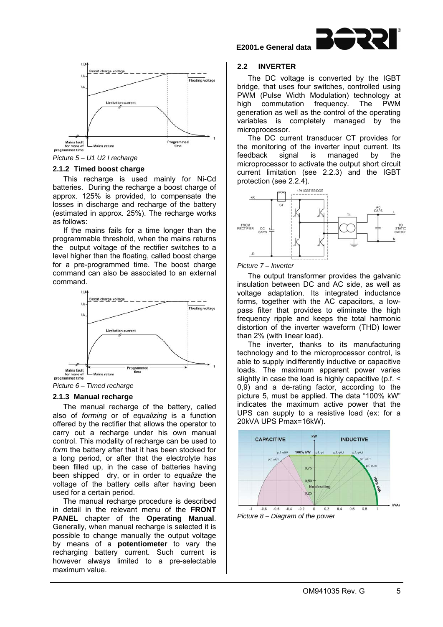



*Picture 5 – U1 U2 I recharge* 

#### **2.1.2 Timed boost charge**

This recharge is used mainly for Ni-Cd batteries. During the recharge a boost charge of approx. 125% is provided, to compensate the losses in discharge and recharge of the battery (estimated in approx. 25%). The recharge works as follows:

If the mains fails for a time longer than the programmable threshold, when the mains returns the output voltage of the rectifier switches to a level higher than the floating, called boost charge for a pre-programmed time. The boost charge command can also be associated to an external command.





#### **2.1.3 Manual recharge**

The manual recharge of the battery, called also of *forming* or of *equalizing* is a function offered by the rectifier that allows the operator to carry out a recharge under his own manual control. This modality of recharge can be used to form the battery after that it has been stocked for a long period, or after that the electrolyte has been filled up, in the case of batteries having been shipped dry, or in order to *equalize* the voltage of the battery cells after having been used for a certain period.

The manual recharge procedure is described in detail in the relevant menu of the **FRONT PANEL** chapter of the **Operating Manual**. Generally, when manual recharge is selected it is possible to change manually the output voltage by means of a **potentiometer** to vary the recharging battery current. Such current is however always limited to a pre-selectable maximum value.

#### **2.2 INVERTER**

The DC voltage is converted by the IGBT bridge, that uses four switches, controlled using PWM (Pulse Width Modulation) technology at high commutation frequency. The PWM generation as well as the control of the operating variables is completely managed by the microprocessor.

The DC current transducer CT provides for the monitoring of the inverter input current. Its feedback signal is managed by the microprocessor to activate the output short circuit current limitation (see 2.2.3) and the IGBT protection (see 2.2.4).



#### *Picture 7 – Inverter*

The output transformer provides the galvanic insulation between DC and AC side, as well as voltage adaptation. Its integrated inductance forms, together with the AC capacitors, a lowpass filter that provides to eliminate the high frequency ripple and keeps the total harmonic distortion of the inverter waveform (THD) lower than 2% (with linear load).

The inverter, thanks to its manufacturing technology and to the microprocessor control, is able to supply indifferently inductive or capacitive loads. The maximum apparent power varies slightly in case the load is highly capacitive (p.f. < 0,9) and a de-rating factor, according to the picture 5, must be applied. The data "100% kW" indicates the maximum active power that the UPS can supply to a resistive load (ex: for a 20kVA UPS Pmax=16kW).



*Picture 8 – Diagram of the power*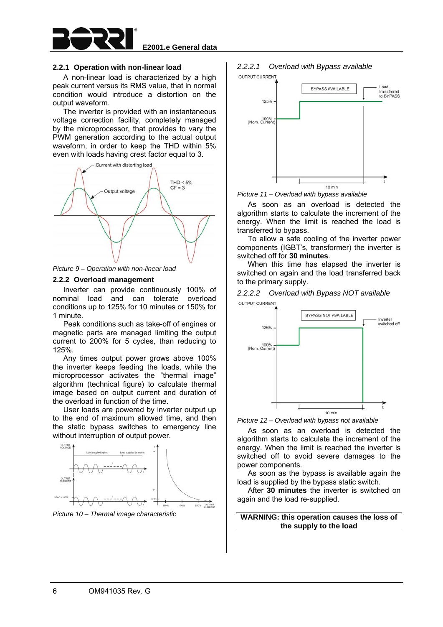

#### **2.2.1 Operation with non-linear load**

A non-linear load is characterized by a high peak current versus its RMS value, that in normal condition would introduce a distortion on the output waveform.

The inverter is provided with an instantaneous voltage correction facility, completely managed by the microprocessor, that provides to vary the PWM generation according to the actual output waveform, in order to keep the THD within 5% even with loads having crest factor equal to 3.



*Picture 9 – Operation with non-linear load* 

#### **2.2.2 Overload management**

Inverter can provide continuously 100% of nominal load and can tolerate overload conditions up to 125% for 10 minutes or 150% for 1 minute.

Peak conditions such as take-off of engines or magnetic parts are managed limiting the output current to 200% for 5 cycles, than reducing to 125%.

Any times output power grows above 100% the inverter keeps feeding the loads, while the microprocessor activates the "thermal image" algorithm (technical figure) to calculate thermal image based on output current and duration of the overload in function of the time.

User loads are powered by inverter output up to the end of maximum allowed time, and then the static bypass switches to emergency line without interruption of output power.



*Picture 10 – Thermal image characteristic* 

#### *2.2.2.1 Overload with Bypass available*  OUTPUT CURRENT



*Picture 11 – Overload with bypass available* 

As soon as an overload is detected the algorithm starts to calculate the increment of the energy. When the limit is reached the load is transferred to bypass.

To allow a safe cooling of the inverter power components (IGBT's, transformer) the inverter is switched off for **30 minutes**.

When this time has elapsed the inverter is switched on again and the load transferred back to the primary supply.





*Picture 12 – Overload with bypass not available* 

As soon as an overload is detected the algorithm starts to calculate the increment of the energy. When the limit is reached the inverter is switched off to avoid severe damages to the power components.

As soon as the bypass is available again the load is supplied by the bypass static switch.

After **30 minutes** the inverter is switched on again and the load re-supplied.

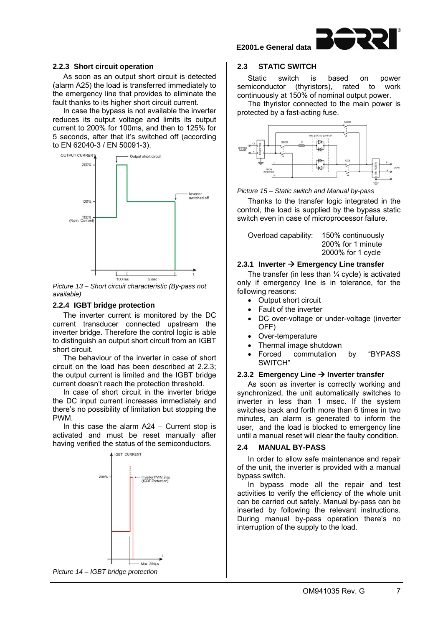

#### **2.2.3 Short circuit operation**

As soon as an output short circuit is detected (alarm A25) the load is transferred immediately to the emergency line that provides to eliminate the fault thanks to its higher short circuit current.

In case the bypass is not available the inverter reduces its output voltage and limits its output current to 200% for 100ms, and then to 125% for 5 seconds, after that it's switched off (according to EN 62040-3 / EN 50091-3).



*Picture 13 – Short circuit characteristic (By-pass not available)* 

#### **2.2.4 IGBT bridge protection**

The inverter current is monitored by the DC current transducer connected upstream the inverter bridge. Therefore the control logic is able to distinguish an output short circuit from an IGBT short circuit.

The behaviour of the inverter in case of short circuit on the load has been described at 2.2.3; the output current is limited and the IGBT bridge current doesn't reach the protection threshold.

In case of short circuit in the inverter bridge the DC input current increases immediately and there's no possibility of limitation but stopping the PWM.

In this case the alarm  $A24 -$  Current stop is activated and must be reset manually after having verified the status of the semiconductors.



#### **2.3 STATIC SWITCH**

Static switch is based on power semiconductor (thyristors), rated to work continuously at 150% of nominal output power.

The thyristor connected to the main power is protected by a fast-acting fuse.



*Picture 15 – Static switch and Manual by-pass* 

Thanks to the transfer logic integrated in the control, the load is supplied by the bypass static switch even in case of microprocessor failure.

| 2000% for 1 cycle | Overload capability: | 150% continuously<br>200% for 1 minute |
|-------------------|----------------------|----------------------------------------|
|-------------------|----------------------|----------------------------------------|

#### **2.3.1 Inverter Emergency Line transfer**

The transfer (in less than  $\frac{1}{4}$  cycle) is activated only if emergency line is in tolerance, for the following reasons:

- Output short circuit
- Fault of the inverter
- DC over-voltage or under-voltage (inverter OFF)
- Over-temperature
- Thermal image shutdown
- Forced commutation by "BYPASS SWITCH"

#### **2.3.2 Emergency Line Inverter transfer**

As soon as inverter is correctly working and synchronized, the unit automatically switches to inverter in less than 1 msec. If the system switches back and forth more than 6 times in two minutes, an alarm is generated to inform the user, and the load is blocked to emergency line until a manual reset will clear the faulty condition.

#### **2.4 MANUAL BY-PASS**

In order to allow safe maintenance and repair of the unit, the inverter is provided with a manual bypass switch.

In bypass mode all the repair and test activities to verify the efficiency of the whole unit can be carried out safely. Manual by-pass can be inserted by following the relevant instructions. During manual by-pass operation there's no interruption of the supply to the load.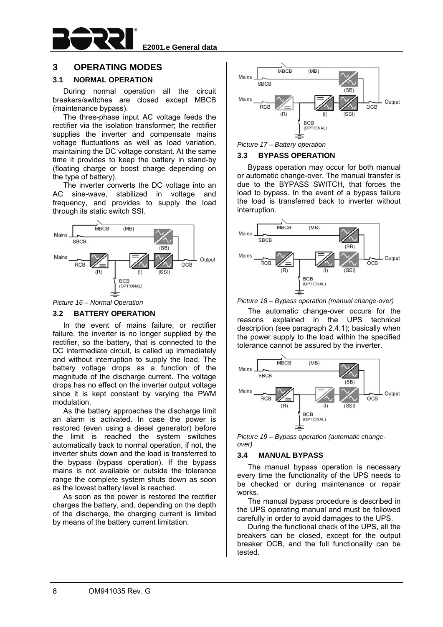

## **3 OPERATING MODES**

#### **3.1 NORMAL OPERATION**

During normal operation all the circuit breakers/switches are closed except MBCB (maintenance bypass).

The three-phase input AC voltage feeds the rectifier via the isolation transformer; the rectifier supplies the inverter and compensate mains voltage fluctuations as well as load variation, maintaining the DC voltage constant. At the same time it provides to keep the battery in stand-by (floating charge or boost charge depending on the type of battery).

The inverter converts the DC voltage into an AC sine-wave, stabilized in voltage and frequency, and provides to supply the load through its static switch SSI.



#### *Picture 16 – Normal Operation*

#### **3.2 BATTERY OPERATION**

In the event of mains failure, or rectifier failure, the inverter is no longer supplied by the rectifier, so the battery, that is connected to the DC intermediate circuit, is called up immediately and without interruption to supply the load. The battery voltage drops as a function of the magnitude of the discharge current. The voltage drops has no effect on the inverter output voltage since it is kept constant by varying the PWM modulation.

As the battery approaches the discharge limit an alarm is activated. In case the power is restored (even using a diesel generator) before the limit is reached the system switches automatically back to normal operation, if not, the inverter shuts down and the load is transferred to the bypass (bypass operation). If the bypass mains is not available or outside the tolerance range the complete system shuts down as soon as the lowest battery level is reached.

As soon as the power is restored the rectifier charges the battery, and, depending on the depth of the discharge, the charging current is limited by means of the battery current limitation.





#### **3.3 BYPASS OPERATION**

Bypass operation may occur for both manual or automatic change-over. The manual transfer is due to the BYPASS SWITCH, that forces the load to bypass. In the event of a bypass failure the load is transferred back to inverter without interruption.



*Picture 18 – Bypass operation (manual change-over)* 

The automatic change-over occurs for the reasons explained in the UPS technical description (see paragraph 2.4.1); basically when the power supply to the load within the specified tolerance cannot be assured by the inverter.



*Picture 19 – Bypass operation (automatic changeover)* 

#### **3.4 MANUAL BYPASS**

The manual bypass operation is necessary every time the functionality of the UPS needs to be checked or during maintenance or repair works.

The manual bypass procedure is described in the UPS operating manual and must be followed carefully in order to avoid damages to the UPS.

During the functional check of the UPS, all the breakers can be closed, except for the output breaker OCB, and the full functionality can be tested.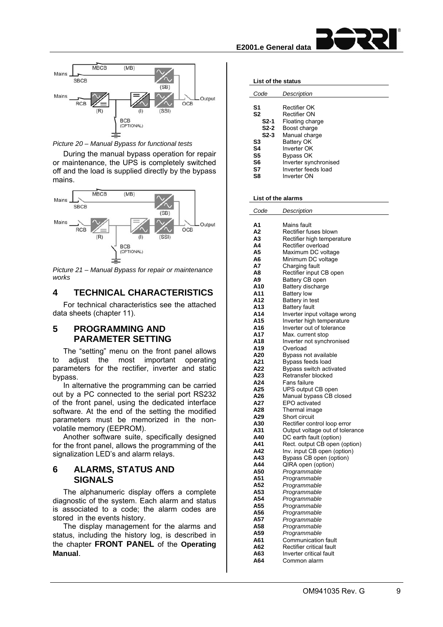



*Picture 20 – Manual Bypass for functional tests* 

During the manual bypass operation for repair or maintenance, the UPS is completely switched off and the load is supplied directly by the bypass mains.



*Picture 21 – Manual Bypass for repair or maintenance works* 

## **4 TECHNICAL CHARACTERISTICS**

For technical characteristics see the attached data sheets (chapter 11).

## **5 PROGRAMMING AND PARAMETER SETTING**

The "setting" menu on the front panel allows to adjust the most important operating parameters for the rectifier, inverter and static bypass.

In alternative the programming can be carried out by a PC connected to the serial port RS232 of the front panel, using the dedicated interface software. At the end of the setting the modified parameters must be memorized in the nonvolatile memory (EEPROM).

Another software suite, specifically designed for the front panel, allows the programming of the signalization LED's and alarm relays.

## **6 ALARMS, STATUS AND SIGNALS**

The alphanumeric display offers a complete diagnostic of the system. Each alarm and status is associated to a code; the alarm codes are stored in the events history.

The display management for the alarms and status, including the history log, is described in the chapter **FRONT PANEL** of the **Operating Manual**.

| List of the status                                                             |                                                                                                                                                                            |  |  |  |
|--------------------------------------------------------------------------------|----------------------------------------------------------------------------------------------------------------------------------------------------------------------------|--|--|--|
| Code                                                                           | Description                                                                                                                                                                |  |  |  |
| S1<br>S <sub>2</sub><br>S2-1<br>$S2-2$<br>$S2-3$<br>S3<br>S4<br>S5<br>S6<br>S7 | Rectifier OK<br>Rectifier ON<br>Floating charge<br>Boost charge<br>Manual charge<br>Battery OK<br>Inverter OK<br>Bypass OK<br>Inverter synchronised<br>Inverter feeds load |  |  |  |
| S8                                                                             | Inverter ON                                                                                                                                                                |  |  |  |

#### **List of the alarms**

| Code       | Description                                  |
|------------|----------------------------------------------|
|            |                                              |
| A1         | Mains fault                                  |
| А2         | Rectifier fuses blown                        |
| A3         | Rectifier high temperature                   |
| Α4         | Rectifier overload                           |
| A5         | Maximum DC voltage                           |
| A6         | Minimum DC voltage                           |
| А7         | Charging fault                               |
| Α8         | Rectifier input CB open                      |
| A9         | Battery CB open                              |
| A10        | Battery discharge                            |
| A11        | <b>Battery low</b>                           |
| A12        | Battery in test                              |
| A13        | <b>Battery fault</b>                         |
| A14        | Inverter input voltage wrong                 |
| A15        | Inverter high temperature                    |
| A16        | Inverter out of tolerance                    |
| A17        | Max. current stop                            |
| A18        | Inverter not synchronised                    |
| A19        | Overload                                     |
| A20<br>A21 | Bypass not available                         |
| A22        | Bypass feeds load<br>Bypass switch activated |
| A23        | Retransfer blocked                           |
| A24        | Fans failure                                 |
| A25        | UPS output CB open                           |
| A26        | Manual bypass CB closed                      |
| A27        | EPO activated                                |
| A28        | Thermal image                                |
| A29        | Short circuit                                |
| A30        | Rectifier control loop error                 |
| A31        | Output voltage out of tolerance              |
| A40        | DC earth fault (option)                      |
| A41        | Rect. output CB open (option)                |
| A42        | Inv. input CB open (option)                  |
| A43        | Bypass CB open (option)                      |
| A44        | QIRA open (option)                           |
| A50        | Programmable                                 |
| A51        | Programmable                                 |
| A52        | Programmable                                 |
| A53        | Programmable                                 |
| A54        | Programmable                                 |
| A55        | Programmable                                 |
| A56        | Programmable                                 |
| A57        | Programmable                                 |
| A58        | Programmable                                 |
| A59        | Programmable                                 |
| A61        | <b>Communication fault</b>                   |
| A62        | Rectifier critical fault                     |
| A63        | Inverter critical fault                      |
| A64        | Common alarm                                 |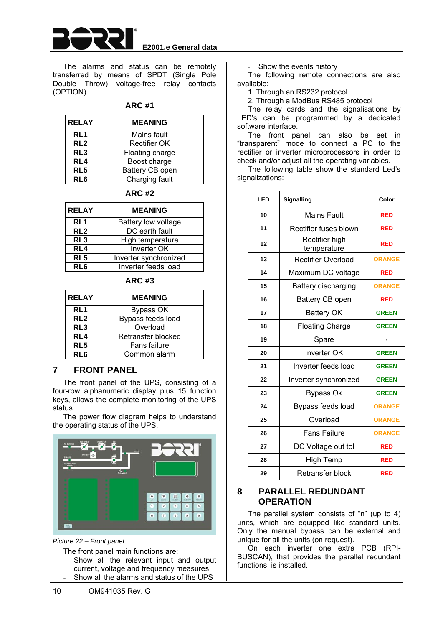

The alarms and status can be remotely transferred by means of SPDT (Single Pole Double Throw) voltage-free relay contacts (OPTION).

#### **ARC #1**

| <b>RELAY</b>    | <b>MEANING</b>      |  |  |
|-----------------|---------------------|--|--|
| RL <sub>1</sub> | Mains fault         |  |  |
| RL <sub>2</sub> | <b>Rectifier OK</b> |  |  |
| RL <sub>3</sub> | Floating charge     |  |  |
| RL4             | Boost charge        |  |  |
| RL5             | Battery CB open     |  |  |
| RL <sub>6</sub> | Charging fault      |  |  |

**ARC #2** 

| <b>RELAY</b>    | <b>MEANING</b>        |  |
|-----------------|-----------------------|--|
| RL <sub>1</sub> | Battery low voltage   |  |
| RL <sub>2</sub> | DC earth fault        |  |
| RL <sub>3</sub> | High temperature      |  |
| RL4             | <b>Inverter OK</b>    |  |
| RL <sub>5</sub> | Inverter synchronized |  |
| RL6             | Inverter feeds load   |  |

| <b>RELAY</b>    | <b>MEANING</b>     |
|-----------------|--------------------|
| RL <sub>1</sub> | Bypass OK          |
| RL <sub>2</sub> | Bypass feeds load  |
| RL <sub>3</sub> | Overload           |
| RL4             | Retransfer blocked |
| RL <sub>5</sub> | Fans failure       |
| RL6             | Common alarm       |

**ARC #3** 

## **7 FRONT PANEL**

The front panel of the UPS, consisting of a four-row alphanumeric display plus 15 function keys, allows the complete monitoring of the UPS status.

The power flow diagram helps to understand the operating status of the UPS.



*Picture 22 – Front panel* 

The front panel main functions are:

- Show all the relevant input and output current, voltage and frequency measures
- Show all the alarms and status of the UPS

Show the events history

The following remote connections are also available:

1. Through an RS232 protocol

2. Through a ModBus RS485 protocol

The relay cards and the signalisations by LED's can be programmed by a dedicated software interface.

The front panel can also be set in "transparent" mode to connect a PC to the rectifier or inverter microprocessors in order to check and/or adjust all the operating variables.

The following table show the standard Led's signalizations:

| LED | <b>Signalling</b>             | Color         |
|-----|-------------------------------|---------------|
| 10  | <b>Mains Fault</b>            | <b>RED</b>    |
| 11  | Rectifier fuses blown         | <b>RED</b>    |
| 12  | Rectifier high<br>temperature | <b>RED</b>    |
| 13  | <b>Rectifier Overload</b>     | <b>ORANGE</b> |
| 14  | Maximum DC voltage            | <b>RED</b>    |
| 15  | Battery discharging           | <b>ORANGE</b> |
| 16  | Battery CB open               | <b>RED</b>    |
| 17  | <b>Battery OK</b>             | <b>GREEN</b>  |
| 18  | <b>Floating Charge</b>        | <b>GREEN</b>  |
| 19  | Spare                         |               |
| 20  | <b>Inverter OK</b>            | <b>GREEN</b>  |
| 21  | Inverter feeds load           | <b>GREEN</b>  |
| 22  | Inverter synchronized         | <b>GREEN</b>  |
| 23  | <b>Bypass Ok</b>              | <b>GREEN</b>  |
| 24  | Bypass feeds load             | <b>ORANGE</b> |
| 25  | Overload                      | <b>ORANGE</b> |
| 26  | <b>Fans Failure</b>           | <b>ORANGE</b> |
| 27  | DC Voltage out tol            | <b>RED</b>    |
| 28  | <b>High Temp</b>              | <b>RED</b>    |
| 29  | Retransfer block              | <b>RED</b>    |

## **8 PARALLEL REDUNDANT OPERATION**

The parallel system consists of "n" (up to 4) units, which are equipped like standard units. Only the manual bypass can be external and unique for all the units (on request).

On each inverter one extra PCB (RPI-BUSCAN), that provides the parallel redundant functions, is installed.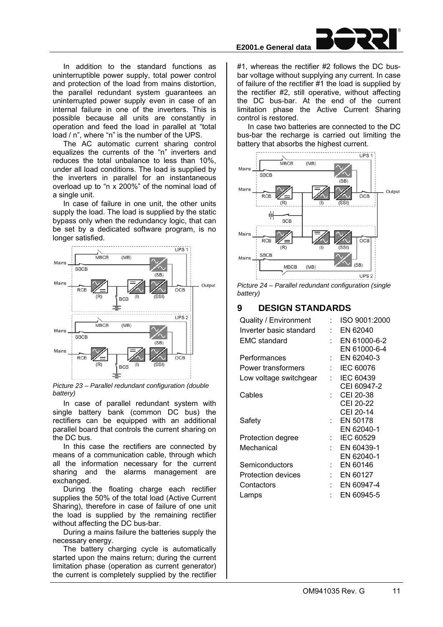In addition to the standard functions as uninterruptible power supply, total power control and protection of the load from mains distortion, the parallel redundant system guarantees an uninterrupted power supply even in case of an internal failure in one of the inverters. This is possible because all units are constantly in operation and feed the load in parallel at "total load / n", where "n" is the number of the UPS.

The AC automatic current sharing control equalizes the currents of the "n" inverters and reduces the total unbalance to less than 10%, under all load conditions. The load is supplied by the inverters in parallel for an instantaneous overload up to "n x 200%" of the nominal load of a single unit.

In case of failure in one unit, the other units supply the load. The load is supplied by the static bypass only when the redundancy logic, that can be set by a dedicated software program, is no longer satisfied.



*Picture 23 – Parallel redundant configuration (double battery)* 

In case of parallel redundant system with single battery bank (common DC bus) the rectifiers can be equipped with an additional parallel board that controls the current sharing on the DC bus.

In this case the rectifiers are connected by means of a communication cable, through which all the information necessary for the current sharing and the alarms management are exchanged.

During the floating charge each rectifier supplies the 50% of the total load (Active Current Sharing), therefore in case of failure of one unit the load is supplied by the remaining rectifier without affecting the DC bus-bar.

During a mains failure the batteries supply the necessary energy.

The battery charging cycle is automatically started upon the mains return; during the current limitation phase (operation as current generator) the current is completely supplied by the rectifier

# **E2001.e General data**

#1, whereas the rectifier #2 follows the DC busbar voltage without supplying any current. In case of failure of the rectifier #1 the load is supplied by the rectifier #2, still operative, without affecting the DC bus-bar. At the end of the current limitation phase the Active Current Sharing control is restored.

In case two batteries are connected to the DC bus-bar the recharge is carried out limiting the battery that absorbs the highest current.



*Picture 24 – Parallel redundant configuration (single battery)* 

## **9 DESIGN STANDARDS**

| Quality / Environment   |   | ISO 9001:2000    |
|-------------------------|---|------------------|
| Inverter basic standard |   | EN 62040         |
| <b>EMC</b> standard     |   | EN 61000-6-2     |
|                         |   | EN 61000-6-4     |
| Performances            |   | EN 62040-3       |
| Power transformers      |   | <b>IEC 60076</b> |
| Low voltage switchgear  |   | IEC 60439        |
|                         |   | CEI 60947-2      |
| Cables                  |   | CEI 20-38        |
|                         |   | CEI 20-22        |
|                         |   | CEI 20-14        |
| Safety                  | ٠ | EN 50178         |
|                         |   | EN 62040-1       |
| Protection degree       |   | <b>IEC 60529</b> |
| Mechanical              |   | EN 60439-1       |
|                         |   | EN 62040-1       |
| Semiconductors          |   | EN 60146         |
| Protection devices      |   | EN 60127         |
| Contactors              |   | EN 60947-4       |
| Lamps                   |   | EN 60945-5       |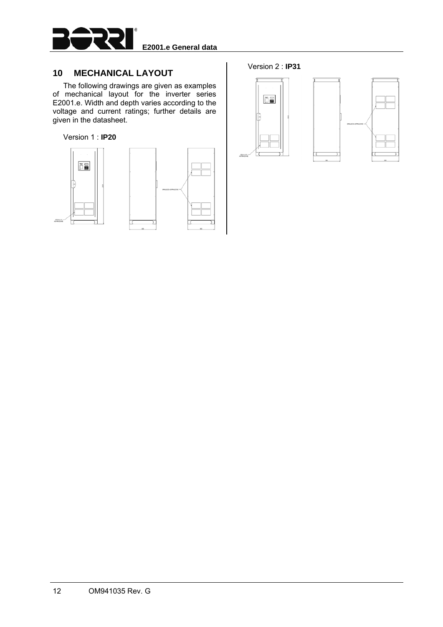

## **10 MECHANICAL LAYOUT**

The following drawings are given as examples of mechanical layout for the inverter series E2001.e. Width and depth varies according to the voltage and current ratings; further details are given in the datasheet.

#### Version 1 : **IP20**





### Version 2 : **IP31**



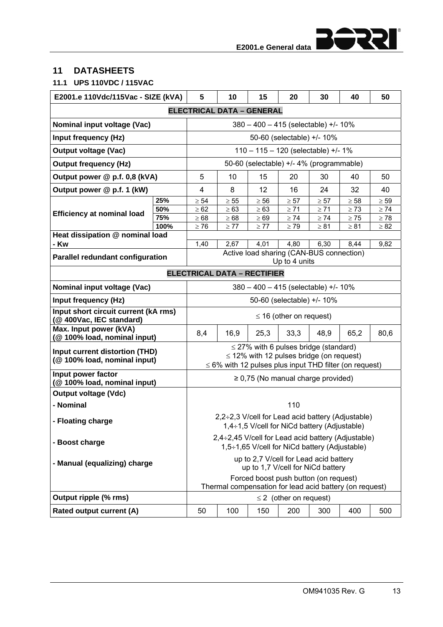<u> 15555</u>

## **11 DATASHEETS**

## **11.1 UPS 110VDC / 115VAC**

| E2001.e 110Vdc/115Vac - SIZE (kVA)                                  |      | 5                                                                           | 10                                 | 15                                                                                          | 20                           | 30        | 40                                                          | 50        |  |  |
|---------------------------------------------------------------------|------|-----------------------------------------------------------------------------|------------------------------------|---------------------------------------------------------------------------------------------|------------------------------|-----------|-------------------------------------------------------------|-----------|--|--|
|                                                                     |      |                                                                             | <b>ELECTRICAL DATA - GENERAL</b>   |                                                                                             |                              |           |                                                             |           |  |  |
| Nominal input voltage (Vac)                                         |      |                                                                             |                                    | $380 - 400 - 415$ (selectable) +/- 10%                                                      |                              |           |                                                             |           |  |  |
| Input frequency (Hz)                                                |      |                                                                             |                                    |                                                                                             | 50-60 (selectable) +/- 10%   |           |                                                             |           |  |  |
| <b>Output voltage (Vac)</b>                                         |      |                                                                             |                                    | 110 - 115 - 120 (selectable) +/- 1%                                                         |                              |           |                                                             |           |  |  |
| <b>Output frequency (Hz)</b>                                        |      | 50-60 (selectable) +/- 4% (programmable)                                    |                                    |                                                                                             |                              |           |                                                             |           |  |  |
| Output power @ p.f. 0,8 (kVA)                                       |      | 5                                                                           | 10                                 | 15                                                                                          | 20                           | 30        | 40                                                          | 50        |  |  |
| Output power @ p.f. 1 (kW)                                          |      | 4                                                                           | 8                                  | 12                                                                                          | 16                           | 24        | 32                                                          | 40        |  |  |
|                                                                     | 25%  | $\geq 54$                                                                   | $\geq 55$                          | $\geq 56$                                                                                   | $\geq 57$                    | $\geq 57$ | $\geq 58$                                                   | $\geq 59$ |  |  |
| <b>Efficiency at nominal load</b>                                   | 50%  | $\geq 62$                                                                   | $\geq 63$                          | $\geq 63$                                                                                   | $\geq 71$                    | $\geq 71$ | $\geq 73$                                                   | $\geq 74$ |  |  |
|                                                                     | 75%  | $\geq 68$                                                                   | $\geq 68$                          | $\geq 69$                                                                                   | $\geq 74$                    | $\geq 74$ | $\geq 75$                                                   | $\geq 78$ |  |  |
|                                                                     | 100% | $\geq 76$                                                                   | $\geq 77$                          | $\geq 77$                                                                                   | $\geq 79$                    | $\geq 81$ | $\geq 81$                                                   | $\geq 82$ |  |  |
| Heat dissipation @ nominal load<br>- Kw                             |      | 1,40                                                                        | 2,67                               | 4,01                                                                                        | 4,80                         | 6,30      | 8,44                                                        | 9,82      |  |  |
|                                                                     |      |                                                                             |                                    | Active load sharing (CAN-BUS connection)                                                    |                              |           |                                                             |           |  |  |
| <b>Parallel redundant configuration</b>                             |      |                                                                             |                                    |                                                                                             | Up to 4 units                |           |                                                             |           |  |  |
|                                                                     |      |                                                                             | <b>ELECTRICAL DATA - RECTIFIER</b> |                                                                                             |                              |           |                                                             |           |  |  |
| Nominal input voltage (Vac)<br>380 - 400 - 415 (selectable) +/- 10% |      |                                                                             |                                    |                                                                                             |                              |           |                                                             |           |  |  |
| Input frequency (Hz)                                                |      |                                                                             |                                    |                                                                                             | 50-60 (selectable) +/- 10%   |           |                                                             |           |  |  |
| Input short circuit current (kA rms)<br>(@ 400Vac, IEC standard)    |      |                                                                             |                                    |                                                                                             | $\leq$ 16 (other on request) |           |                                                             |           |  |  |
| Max. Input power (kVA)<br>(@ 100% load, nominal input)              |      | 8,4                                                                         | 16,9                               | 25,3                                                                                        | 33,3                         | 48,9      | 65,2                                                        | 80,6      |  |  |
| Input current distortion (THD)<br>(@100% load, nominal input)       |      |                                                                             |                                    | $\leq$ 27% with 6 pulses bridge (standard)<br>$\leq$ 12% with 12 pulses bridge (on request) |                              |           | $\leq$ 6% with 12 pulses plus input THD filter (on request) |           |  |  |
| Input power factor<br>(@100% load, nominal input)                   |      |                                                                             |                                    | $\geq$ 0,75 (No manual charge provided)                                                     |                              |           |                                                             |           |  |  |
| <b>Output voltage (Vdc)</b>                                         |      |                                                                             |                                    |                                                                                             |                              |           |                                                             |           |  |  |
| - Nominal                                                           |      |                                                                             |                                    |                                                                                             | 110                          |           |                                                             |           |  |  |
| - Floating charge                                                   |      |                                                                             |                                    | $1,4\div 1,5$ V/cell for NiCd battery (Adjustable)                                          |                              |           | 2,2÷2,3 V/cell for Lead acid battery (Adjustable)           |           |  |  |
| - Boost charge                                                      |      |                                                                             |                                    | 1,5÷1,65 V/cell for NiCd battery (Adjustable)                                               |                              |           | 2,4÷2,45 V/cell for Lead acid battery (Adjustable)          |           |  |  |
| - Manual (equalizing) charge                                        |      | up to 2,7 V/cell for Lead acid battery<br>up to 1,7 V/cell for NiCd battery |                                    |                                                                                             |                              |           |                                                             |           |  |  |
|                                                                     |      |                                                                             |                                    | Forced boost push button (on request)                                                       |                              |           | Thermal compensation for lead acid battery (on request)     |           |  |  |
| Output ripple (% rms)                                               |      |                                                                             |                                    |                                                                                             | $\leq$ 2 (other on request)  |           |                                                             |           |  |  |
| Rated output current (A)                                            |      | 50                                                                          | 100                                | 150                                                                                         | 200                          | 300       | 400                                                         | 500       |  |  |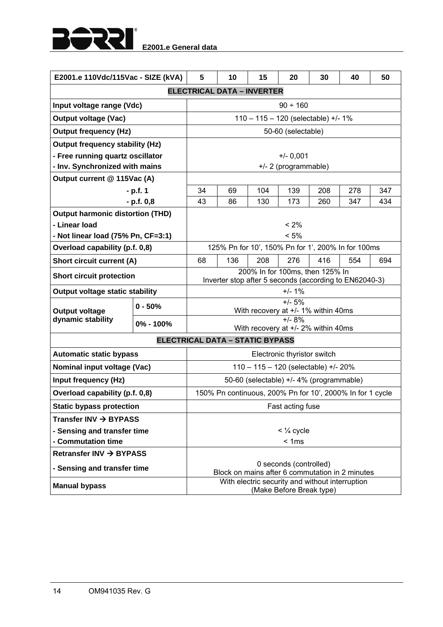

| E2001.e 110Vdc/115Vac - SIZE (kVA)      |                                        | 5                                                                           | 10                                                        | 15                                              | 20                          | 30  | 40  | 50  |  |  |  |
|-----------------------------------------|----------------------------------------|-----------------------------------------------------------------------------|-----------------------------------------------------------|-------------------------------------------------|-----------------------------|-----|-----|-----|--|--|--|
|                                         |                                        |                                                                             | <b>ELECTRICAL DATA - INVERTER</b>                         |                                                 |                             |     |     |     |  |  |  |
| Input voltage range (Vdc)               |                                        |                                                                             |                                                           |                                                 | $90 \div 160$               |     |     |     |  |  |  |
| <b>Output voltage (Vac)</b>             |                                        |                                                                             |                                                           | 110 - 115 - 120 (selectable) +/- 1%             |                             |     |     |     |  |  |  |
| <b>Output frequency (Hz)</b>            |                                        |                                                                             |                                                           |                                                 | 50-60 (selectable)          |     |     |     |  |  |  |
| <b>Output frequency stability (Hz)</b>  |                                        |                                                                             |                                                           |                                                 |                             |     |     |     |  |  |  |
| - Free running quartz oscillator        |                                        | $+/- 0,001$                                                                 |                                                           |                                                 |                             |     |     |     |  |  |  |
| - Inv. Synchronized with mains          |                                        | +/- 2 (programmable)                                                        |                                                           |                                                 |                             |     |     |     |  |  |  |
| Output current @ 115Vac (A)             |                                        |                                                                             |                                                           |                                                 |                             |     |     |     |  |  |  |
|                                         | $- p.f. 1$                             | 34                                                                          | 69                                                        | 104                                             | 139                         | 208 | 278 | 347 |  |  |  |
|                                         | $- p.f. 0,8$                           | 43                                                                          | 86                                                        | 130                                             | 173                         | 260 | 347 | 434 |  |  |  |
| <b>Output harmonic distortion (THD)</b> |                                        |                                                                             |                                                           |                                                 |                             |     |     |     |  |  |  |
| - Linear load                           |                                        |                                                                             |                                                           |                                                 | $< 2\%$                     |     |     |     |  |  |  |
| - Not linear load (75% Pn, CF=3:1)      |                                        |                                                                             |                                                           |                                                 | < 5%                        |     |     |     |  |  |  |
| Overload capability (p.f. 0,8)          |                                        |                                                                             | 125% Pn for 10', 150% Pn for 1', 200% In for 100ms        |                                                 |                             |     |     |     |  |  |  |
| <b>Short circuit current (A)</b>        |                                        | 68                                                                          | 136                                                       | 208                                             | 276                         | 416 | 554 | 694 |  |  |  |
| <b>Short circuit protection</b>         |                                        |                                                                             | Inverter stop after 5 seconds (according to EN62040-3)    | 200% In for 100ms, then 125% In                 |                             |     |     |     |  |  |  |
| Output voltage static stability         |                                        |                                                                             |                                                           |                                                 | $+/- 1%$                    |     |     |     |  |  |  |
| <b>Output voltage</b>                   | $0 - 50%$                              |                                                                             |                                                           | $+/- 5%$<br>With recovery at +/- 1% within 40ms |                             |     |     |     |  |  |  |
| dynamic stability                       | 0% - 100%                              |                                                                             |                                                           | With recovery at +/- 2% within 40ms             | $+/- 8%$                    |     |     |     |  |  |  |
|                                         | <b>ELECTRICAL DATA - STATIC BYPASS</b> |                                                                             |                                                           |                                                 |                             |     |     |     |  |  |  |
| <b>Automatic static bypass</b>          |                                        |                                                                             |                                                           |                                                 | Electronic thyristor switch |     |     |     |  |  |  |
| Nominal input voltage (Vac)             |                                        |                                                                             |                                                           | 110 - 115 - 120 (selectable) +/- 20%            |                             |     |     |     |  |  |  |
| Input frequency (Hz)                    |                                        |                                                                             |                                                           | 50-60 (selectable) +/- 4% (programmable)        |                             |     |     |     |  |  |  |
| Overload capability (p.f. 0,8)          |                                        |                                                                             | 150% Pn continuous, 200% Pn for 10', 2000% In for 1 cycle |                                                 |                             |     |     |     |  |  |  |
| <b>Static bypass protection</b>         |                                        |                                                                             |                                                           |                                                 | Fast acting fuse            |     |     |     |  |  |  |
| Transfer INV $\rightarrow$ BYPASS       |                                        |                                                                             |                                                           |                                                 |                             |     |     |     |  |  |  |
| - Sensing and transfer time             |                                        | $<$ $\frac{1}{4}$ cycle                                                     |                                                           |                                                 |                             |     |     |     |  |  |  |
| - Commutation time                      |                                        |                                                                             |                                                           |                                                 | < 1ms                       |     |     |     |  |  |  |
| Retransfer INV $\rightarrow$ BYPASS     |                                        |                                                                             |                                                           |                                                 |                             |     |     |     |  |  |  |
| - Sensing and transfer time             |                                        | 0 seconds (controlled)<br>Block on mains after 6 commutation in 2 minutes   |                                                           |                                                 |                             |     |     |     |  |  |  |
| <b>Manual bypass</b>                    |                                        | With electric security and without interruption<br>(Make Before Break type) |                                                           |                                                 |                             |     |     |     |  |  |  |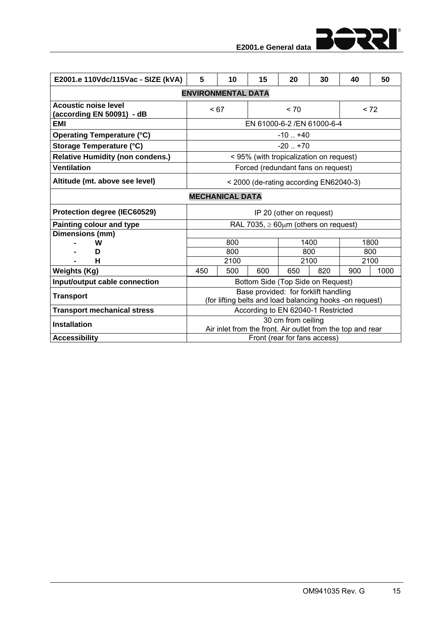

| E2001.e 110Vdc/115Vac - SIZE (kVA)                       | 5                                      | 10         | 15  | 20                                                                                               | 30   | 40  | 50          |  |  |  |
|----------------------------------------------------------|----------------------------------------|------------|-----|--------------------------------------------------------------------------------------------------|------|-----|-------------|--|--|--|
|                                                          | <b>ENVIRONMENTAL DATA</b>              |            |     |                                                                                                  |      |     |             |  |  |  |
| <b>Acoustic noise level</b><br>(according EN 50091) - dB | < 67                                   |            |     | < 70                                                                                             |      |     | < 72        |  |  |  |
| EMI                                                      |                                        |            |     | EN 61000-6-2 / EN 61000-6-4                                                                      |      |     |             |  |  |  |
| <b>Operating Temperature (°C)</b>                        |                                        |            |     | $-10$ $+40$                                                                                      |      |     |             |  |  |  |
| Storage Temperature (°C)                                 |                                        |            |     | $-20$ $+70$                                                                                      |      |     |             |  |  |  |
| <b>Relative Humidity (non condens.)</b>                  |                                        |            |     | < 95% (with tropicalization on request)                                                          |      |     |             |  |  |  |
| <b>Ventilation</b>                                       |                                        |            |     | Forced (redundant fans on request)                                                               |      |     |             |  |  |  |
| Altitude (mt. above see level)                           | < 2000 (de-rating according EN62040-3) |            |     |                                                                                                  |      |     |             |  |  |  |
| <b>MECHANICAL DATA</b>                                   |                                        |            |     |                                                                                                  |      |     |             |  |  |  |
| Protection degree (IEC60529)                             |                                        |            |     | IP 20 (other on request)                                                                         |      |     |             |  |  |  |
| Painting colour and type                                 |                                        |            |     | RAL 7035, $\geq 60 \mu m$ (others on request)                                                    |      |     |             |  |  |  |
| Dimensions (mm)                                          |                                        |            |     |                                                                                                  |      |     |             |  |  |  |
| w<br>D                                                   |                                        | 800<br>800 |     | 800                                                                                              | 1400 |     | 1800<br>800 |  |  |  |
| н                                                        |                                        | 2100       |     | 2100                                                                                             |      |     | 2100        |  |  |  |
| <b>Weights (Kg)</b>                                      | 450                                    | 500        | 600 | 650                                                                                              | 820  | 900 | 1000        |  |  |  |
| Input/output cable connection                            |                                        |            |     | Bottom Side (Top Side on Request)                                                                |      |     |             |  |  |  |
| <b>Transport</b>                                         |                                        |            |     | Base provided: for forklift handling<br>(for lifting belts and load balancing hooks -on request) |      |     |             |  |  |  |
| <b>Transport mechanical stress</b>                       |                                        |            |     | According to EN 62040-1 Restricted                                                               |      |     |             |  |  |  |
| <b>Installation</b>                                      |                                        |            |     | 30 cm from ceiling<br>Air inlet from the front. Air outlet from the top and rear                 |      |     |             |  |  |  |
| <b>Accessibility</b>                                     |                                        |            |     | Front (rear for fans access)                                                                     |      |     |             |  |  |  |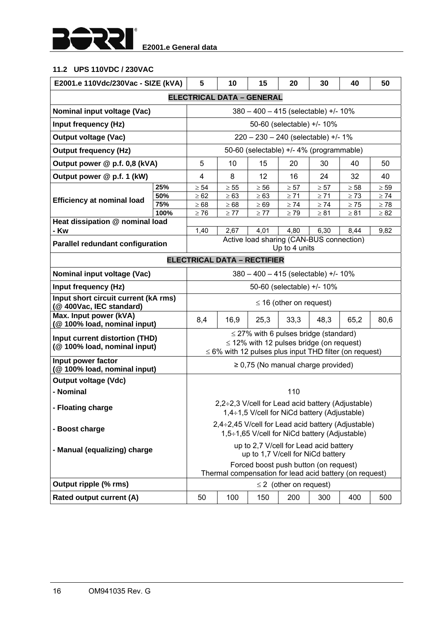

## **11.2 UPS 110VDC / 230VAC**

| E2001.e 110Vdc/230Vac - SIZE (kVA)                               |      | 5                                                                                      | 10                                 | 15        | 20                                                                                          | 30        | 40                                                           | 50        |  |  |
|------------------------------------------------------------------|------|----------------------------------------------------------------------------------------|------------------------------------|-----------|---------------------------------------------------------------------------------------------|-----------|--------------------------------------------------------------|-----------|--|--|
|                                                                  |      |                                                                                        | <b>ELECTRICAL DATA - GENERAL</b>   |           |                                                                                             |           |                                                              |           |  |  |
| Nominal input voltage (Vac)                                      |      |                                                                                        |                                    |           | $380 - 400 - 415$ (selectable) +/- 10%                                                      |           |                                                              |           |  |  |
| Input frequency (Hz)                                             |      |                                                                                        |                                    |           | 50-60 (selectable) +/- 10%                                                                  |           |                                                              |           |  |  |
| <b>Output voltage (Vac)</b>                                      |      |                                                                                        |                                    |           | $220 - 230 - 240$ (selectable) +/- 1%                                                       |           |                                                              |           |  |  |
| <b>Output frequency (Hz)</b>                                     |      | 50-60 (selectable) +/- 4% (programmable)                                               |                                    |           |                                                                                             |           |                                                              |           |  |  |
| Output power @ p.f. 0,8 (kVA)                                    |      | 5                                                                                      | 10                                 | 15        | 20                                                                                          | 30        | 40                                                           | 50        |  |  |
| Output power @ p.f. 1 (kW)                                       |      | 4                                                                                      | 8                                  | 12        | 16                                                                                          | 24        | 32                                                           | 40        |  |  |
|                                                                  | 25%  | $\geq 54$                                                                              | $\geq 55$                          | $\geq 56$ | $\geq 57$                                                                                   | $\geq 57$ | $\geq 58$                                                    | $\geq 59$ |  |  |
| <b>Efficiency at nominal load</b>                                | 50%  | $\geq 62$                                                                              | $\geq 63$                          | $\geq 63$ | $\geq 71$                                                                                   | $\geq 71$ | $\geq 73$                                                    | $\geq 74$ |  |  |
|                                                                  | 75%  | $\geq 68$                                                                              | $\geq 68$                          | $\geq 69$ | $\geq 74$                                                                                   | $\geq 74$ | $\geq 75$                                                    | $\geq 78$ |  |  |
|                                                                  | 100% | $\geq 76$                                                                              | $\geq 77$                          | $\geq 77$ | $\geq 79$                                                                                   | $\geq 81$ | $\geq 81$                                                    | $\geq 82$ |  |  |
| Heat dissipation @ nominal load                                  |      | 1,40                                                                                   |                                    |           |                                                                                             | 6,30      |                                                              |           |  |  |
| - Kw                                                             |      |                                                                                        | 2,67                               | 4,01      | 4,80<br>Active load sharing (CAN-BUS connection)                                            |           | 8,44                                                         | 9,82      |  |  |
| <b>Parallel redundant configuration</b>                          |      |                                                                                        |                                    |           | Up to 4 units                                                                               |           |                                                              |           |  |  |
|                                                                  |      |                                                                                        | <b>ELECTRICAL DATA - RECTIFIER</b> |           |                                                                                             |           |                                                              |           |  |  |
| Nominal input voltage (Vac)                                      |      | $380 - 400 - 415$ (selectable) +/- 10%                                                 |                                    |           |                                                                                             |           |                                                              |           |  |  |
| Input frequency (Hz)                                             |      |                                                                                        |                                    |           | 50-60 (selectable) +/- 10%                                                                  |           |                                                              |           |  |  |
| Input short circuit current (kA rms)<br>(@ 400Vac, IEC standard) |      | $\leq$ 16 (other on request)                                                           |                                    |           |                                                                                             |           |                                                              |           |  |  |
| Max. Input power (kVA)<br>(@ 100% load, nominal input)           |      | 8,4                                                                                    | 16,9                               | 25,3      | 33,3                                                                                        | 48,3      | 65,2                                                         | 80,6      |  |  |
| Input current distortion (THD)<br>(@ 100% load, nominal input)   |      |                                                                                        |                                    |           | $\leq$ 27% with 6 pulses bridge (standard)<br>$\leq$ 12% with 12 pulses bridge (on request) |           | $\leq 6\%$ with 12 pulses plus input THD filter (on request) |           |  |  |
| Input power factor<br>(@ 100% load, nominal input)               |      |                                                                                        |                                    |           | $\geq$ 0,75 (No manual charge provided)                                                     |           |                                                              |           |  |  |
| <b>Output voltage (Vdc)</b>                                      |      |                                                                                        |                                    |           |                                                                                             |           |                                                              |           |  |  |
| - Nominal                                                        |      |                                                                                        |                                    |           | 110                                                                                         |           |                                                              |           |  |  |
| - Floating charge                                                |      |                                                                                        |                                    |           | 1,4÷1,5 V/cell for NiCd battery (Adjustable)                                                |           | $2,2\div 2,3$ V/cell for Lead acid battery (Adjustable)      |           |  |  |
| - Boost charge                                                   |      |                                                                                        |                                    |           | 1,5÷1,65 V/cell for NiCd battery (Adjustable)                                               |           | 2,4÷2,45 V/cell for Lead acid battery (Adjustable)           |           |  |  |
| - Manual (equalizing) charge                                     |      | up to 2,7 V/cell for Lead acid battery<br>up to 1,7 V/cell for NiCd battery            |                                    |           |                                                                                             |           |                                                              |           |  |  |
|                                                                  |      |                                                                                        |                                    |           | Forced boost push button (on request)                                                       |           |                                                              |           |  |  |
| Output ripple (% rms)                                            |      | Thermal compensation for lead acid battery (on request)<br>$\leq$ 2 (other on request) |                                    |           |                                                                                             |           |                                                              |           |  |  |
| Rated output current (A)                                         |      | 50                                                                                     | 100                                | 150       | 200                                                                                         | 300       | 400                                                          | 500       |  |  |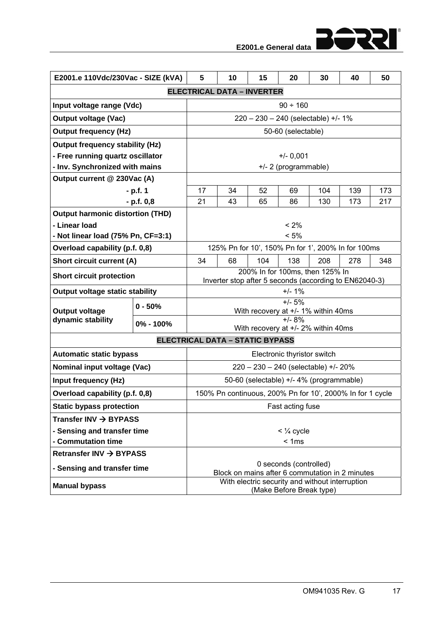| E2001.e 110Vdc/230Vac - SIZE (kVA)      |              | 5                                                                              | 10                                                        | 15                                       | 20                          | 30  | 40  | 50  |  |  |  |
|-----------------------------------------|--------------|--------------------------------------------------------------------------------|-----------------------------------------------------------|------------------------------------------|-----------------------------|-----|-----|-----|--|--|--|
|                                         |              |                                                                                | <b>ELECTRICAL DATA - INVERTER</b>                         |                                          |                             |     |     |     |  |  |  |
| Input voltage range (Vdc)               |              |                                                                                |                                                           |                                          | $90 \div 160$               |     |     |     |  |  |  |
| <b>Output voltage (Vac)</b>             |              |                                                                                |                                                           | 220 - 230 - 240 (selectable) +/- 1%      |                             |     |     |     |  |  |  |
| <b>Output frequency (Hz)</b>            |              |                                                                                |                                                           |                                          | 50-60 (selectable)          |     |     |     |  |  |  |
| <b>Output frequency stability (Hz)</b>  |              |                                                                                |                                                           |                                          |                             |     |     |     |  |  |  |
| - Free running quartz oscillator        |              | $+/- 0,001$                                                                    |                                                           |                                          |                             |     |     |     |  |  |  |
| - Inv. Synchronized with mains          |              | +/- 2 (programmable)                                                           |                                                           |                                          |                             |     |     |     |  |  |  |
| Output current @ 230Vac (A)             |              |                                                                                |                                                           |                                          |                             |     |     |     |  |  |  |
|                                         | - p.f. 1     | 17                                                                             | 34                                                        | 52                                       | 69                          | 104 | 139 | 173 |  |  |  |
|                                         | $- p.f. 0,8$ | 21                                                                             | 43                                                        | 65                                       | 86                          | 130 | 173 | 217 |  |  |  |
| <b>Output harmonic distortion (THD)</b> |              |                                                                                |                                                           |                                          |                             |     |     |     |  |  |  |
| - Linear load                           |              |                                                                                |                                                           |                                          | < 2%                        |     |     |     |  |  |  |
| - Not linear load (75% Pn, CF=3:1)      |              |                                                                                |                                                           |                                          | < 5%                        |     |     |     |  |  |  |
| Overload capability (p.f. 0,8)          |              |                                                                                | 125% Pn for 10', 150% Pn for 1', 200% In for 100ms        |                                          |                             |     |     |     |  |  |  |
| <b>Short circuit current (A)</b>        |              | 34<br>68<br>104<br>138<br>208<br>278<br>348<br>200% In for 100ms, then 125% In |                                                           |                                          |                             |     |     |     |  |  |  |
| <b>Short circuit protection</b>         |              |                                                                                | Inverter stop after 5 seconds (according to EN62040-3)    |                                          |                             |     |     |     |  |  |  |
| <b>Output voltage static stability</b>  |              |                                                                                |                                                           |                                          | $+/- 1%$                    |     |     |     |  |  |  |
| <b>Output voltage</b>                   | $0 - 50%$    |                                                                                |                                                           | With recovery at +/- 1% within 40ms      | $+/- 5%$                    |     |     |     |  |  |  |
| dynamic stability                       | 0% - 100%    |                                                                                |                                                           |                                          | $+/- 8%$                    |     |     |     |  |  |  |
|                                         |              |                                                                                |                                                           | With recovery at +/- 2% within 40ms      |                             |     |     |     |  |  |  |
|                                         |              |                                                                                | <b>ELECTRICAL DATA - STATIC BYPASS</b>                    |                                          |                             |     |     |     |  |  |  |
| <b>Automatic static bypass</b>          |              |                                                                                |                                                           |                                          | Electronic thyristor switch |     |     |     |  |  |  |
| Nominal input voltage (Vac)             |              |                                                                                |                                                           | 220 - 230 - 240 (selectable) +/- 20%     |                             |     |     |     |  |  |  |
| Input frequency (Hz)                    |              |                                                                                |                                                           | 50-60 (selectable) +/- 4% (programmable) |                             |     |     |     |  |  |  |
| Overload capability (p.f. 0,8)          |              |                                                                                | 150% Pn continuous, 200% Pn for 10', 2000% In for 1 cycle |                                          |                             |     |     |     |  |  |  |
| <b>Static bypass protection</b>         |              |                                                                                |                                                           |                                          | Fast acting fuse            |     |     |     |  |  |  |
| Transfer INV $\rightarrow$ BYPASS       |              |                                                                                |                                                           |                                          |                             |     |     |     |  |  |  |
| - Sensing and transfer time             |              |                                                                                |                                                           |                                          | $<$ $\frac{1}{4}$ cycle     |     |     |     |  |  |  |
| - Commutation time                      |              |                                                                                |                                                           |                                          | < 1ms                       |     |     |     |  |  |  |
| Retransfer INV $\rightarrow$ BYPASS     |              |                                                                                |                                                           |                                          |                             |     |     |     |  |  |  |
| - Sensing and transfer time             |              | 0 seconds (controlled)<br>Block on mains after 6 commutation in 2 minutes      |                                                           |                                          |                             |     |     |     |  |  |  |
|                                         |              | With electric security and without interruption                                |                                                           |                                          |                             |     |     |     |  |  |  |
| <b>Manual bypass</b>                    |              | (Make Before Break type)                                                       |                                                           |                                          |                             |     |     |     |  |  |  |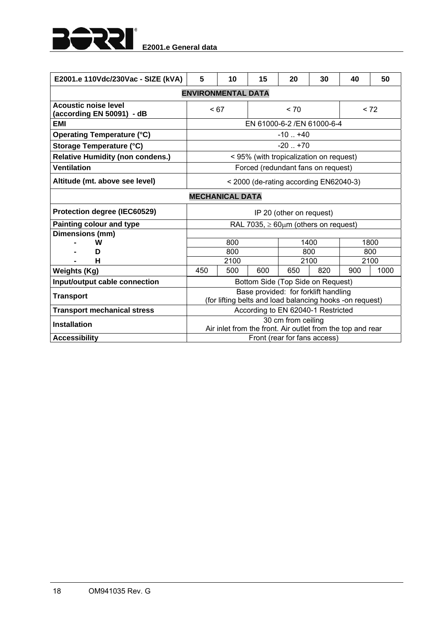

| E2001.e 110Vdc/230Vac - SIZE (kVA)                       | 5                                      | 10         | 15                                                                                               | 20                           | 30   | 40          | 50   |  |  |  |
|----------------------------------------------------------|----------------------------------------|------------|--------------------------------------------------------------------------------------------------|------------------------------|------|-------------|------|--|--|--|
|                                                          | <b>ENVIRONMENTAL DATA</b>              |            |                                                                                                  |                              |      |             |      |  |  |  |
| <b>Acoustic noise level</b><br>(according EN 50091) - dB | < 67                                   |            |                                                                                                  | < 70                         |      | < 72        |      |  |  |  |
| <b>EMI</b>                                               |                                        |            | EN 61000-6-2 / EN 61000-6-4                                                                      |                              |      |             |      |  |  |  |
| <b>Operating Temperature (°C)</b>                        | $-10$ $+40$                            |            |                                                                                                  |                              |      |             |      |  |  |  |
| Storage Temperature (°C)                                 | $-20$ $+70$                            |            |                                                                                                  |                              |      |             |      |  |  |  |
| <b>Relative Humidity (non condens.)</b>                  |                                        |            | < 95% (with tropicalization on request)                                                          |                              |      |             |      |  |  |  |
| <b>Ventilation</b>                                       | Forced (redundant fans on request)     |            |                                                                                                  |                              |      |             |      |  |  |  |
| Altitude (mt. above see level)                           | < 2000 (de-rating according EN62040-3) |            |                                                                                                  |                              |      |             |      |  |  |  |
| <b>MECHANICAL DATA</b>                                   |                                        |            |                                                                                                  |                              |      |             |      |  |  |  |
| Protection degree (IEC60529)                             |                                        |            |                                                                                                  | IP 20 (other on request)     |      |             |      |  |  |  |
| <b>Painting colour and type</b>                          |                                        |            | RAL 7035, $\geq 60 \mu m$ (others on request)                                                    |                              |      |             |      |  |  |  |
| Dimensions (mm)                                          |                                        |            |                                                                                                  |                              |      |             |      |  |  |  |
| w<br>D                                                   |                                        | 800<br>800 |                                                                                                  | 800                          | 1400 | 1800<br>800 |      |  |  |  |
| н                                                        |                                        | 2100       |                                                                                                  | 2100                         |      | 2100        |      |  |  |  |
| <b>Weights (Kg)</b>                                      | 450                                    | 500        | 600                                                                                              | 650                          | 820  | 900         | 1000 |  |  |  |
| Input/output cable connection                            |                                        |            | Bottom Side (Top Side on Request)                                                                |                              |      |             |      |  |  |  |
| <b>Transport</b>                                         |                                        |            | Base provided: for forklift handling<br>(for lifting belts and load balancing hooks -on request) |                              |      |             |      |  |  |  |
| <b>Transport mechanical stress</b>                       |                                        |            | According to EN 62040-1 Restricted                                                               |                              |      |             |      |  |  |  |
| <b>Installation</b>                                      |                                        |            | Air inlet from the front. Air outlet from the top and rear                                       | 30 cm from ceiling           |      |             |      |  |  |  |
| <b>Accessibility</b>                                     |                                        |            |                                                                                                  | Front (rear for fans access) |      |             |      |  |  |  |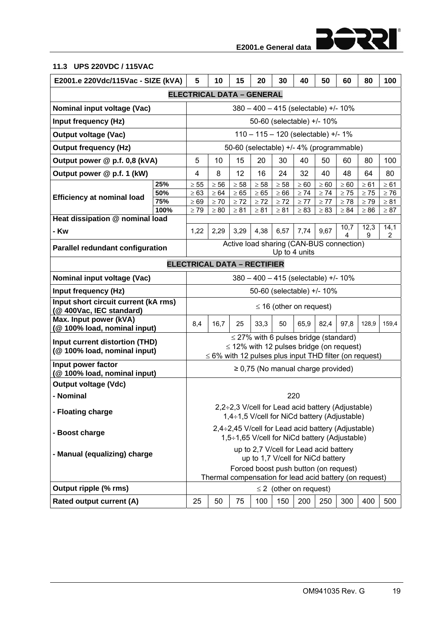155<del>0</del> **E2001.e General data**

#### **11.3 UPS 220VDC / 115VAC**

|                                                                        | 5<br>10<br>40<br>E2001.e 220Vdc/115Vac - SIZE (kVA)<br>15<br>20<br>30<br>50<br>60<br>80 |                                                                                                  |                                                             |           |                                                                                                     |           |                             |           | 100       |           |           |
|------------------------------------------------------------------------|-----------------------------------------------------------------------------------------|--------------------------------------------------------------------------------------------------|-------------------------------------------------------------|-----------|-----------------------------------------------------------------------------------------------------|-----------|-----------------------------|-----------|-----------|-----------|-----------|
|                                                                        |                                                                                         |                                                                                                  | <b>ELECTRICAL DATA - GENERAL</b>                            |           |                                                                                                     |           |                             |           |           |           |           |
| Nominal input voltage (Vac)                                            |                                                                                         |                                                                                                  |                                                             |           | $380 - 400 - 415$ (selectable) +/- 10%                                                              |           |                             |           |           |           |           |
| Input frequency (Hz)                                                   |                                                                                         |                                                                                                  |                                                             |           | 50-60 (selectable) +/- 10%                                                                          |           |                             |           |           |           |           |
| <b>Output voltage (Vac)</b>                                            |                                                                                         |                                                                                                  |                                                             |           | $110 - 115 - 120$ (selectable) +/- 1%                                                               |           |                             |           |           |           |           |
| <b>Output frequency (Hz)</b>                                           |                                                                                         |                                                                                                  |                                                             |           | 50-60 (selectable) +/- 4% (programmable)                                                            |           |                             |           |           |           |           |
| Output power @ p.f. 0,8 (kVA)                                          |                                                                                         | 5                                                                                                | 10                                                          | 15        | 20                                                                                                  | 30        | 40                          | 50        | 60        | 80        | 100       |
| Output power @ p.f. 1 (kW)                                             |                                                                                         | 4                                                                                                | 8                                                           | 12        | 16                                                                                                  | 24        | 32                          | 40        | 48        | 64        | 80        |
|                                                                        | 25%                                                                                     | $\geq 55$                                                                                        | $\geq 56$                                                   | $\geq 58$ | $\geq 58$                                                                                           | $\geq 58$ | $\geq 60$                   | $\geq 60$ | $\geq 60$ | $\geq 61$ | $\geq 61$ |
| <b>Efficiency at nominal load</b>                                      | 50%                                                                                     | $\geq 63$                                                                                        | $\geq 64$                                                   | $\geq 65$ | $\geq 65$                                                                                           | $\geq 66$ | $\geq 74$                   | $\geq 74$ | $\geq 75$ | $\geq 75$ | $\geq 76$ |
|                                                                        | 75%                                                                                     | $\geq 69$                                                                                        | $\geq 70$                                                   | $\geq 72$ | $\geq 72$                                                                                           | $\geq 72$ | $\geq 77$                   | $\geq 77$ | $\geq 78$ | $\geq 79$ | $\geq 81$ |
| Heat dissipation @ nominal load                                        | 100%                                                                                    | $\geq 79$                                                                                        | $\geq 80$                                                   | $\geq 81$ | $\geq 81$                                                                                           | $\geq 81$ | $\geq 83$                   | $\geq 83$ | $\geq 84$ | $\geq 86$ | $\geq 87$ |
| - Kw                                                                   |                                                                                         | 1,22                                                                                             | 2,29                                                        | 3,29      | 4,38                                                                                                | 6,57      | 7,74                        | 9,67      | 10,7      | 12,3      | 14,1      |
|                                                                        |                                                                                         |                                                                                                  |                                                             |           | Active load sharing (CAN-BUS connection)                                                            |           |                             |           |           | 9         | 2         |
| <b>Parallel redundant configuration</b>                                |                                                                                         |                                                                                                  |                                                             |           |                                                                                                     |           | Up to 4 units               |           |           |           |           |
|                                                                        |                                                                                         |                                                                                                  | <b>ELECTRICAL DATA - RECTIFIER</b>                          |           |                                                                                                     |           |                             |           |           |           |           |
| Nominal input voltage (Vac)                                            |                                                                                         | $380 - 400 - 415$ (selectable) +/- 10%                                                           |                                                             |           |                                                                                                     |           |                             |           |           |           |           |
| Input frequency (Hz)                                                   |                                                                                         |                                                                                                  |                                                             |           | 50-60 (selectable) +/- 10%                                                                          |           |                             |           |           |           |           |
| Input short circuit current (kA rms)<br>(@ 400Vac, IEC standard)       |                                                                                         | $\leq$ 16 (other on request)                                                                     |                                                             |           |                                                                                                     |           |                             |           |           |           |           |
| Max. Input power (kVA)<br>(@ 100% load, nominal input)                 |                                                                                         | 8,4                                                                                              | 16,7                                                        | 25        | 33,3                                                                                                | 50        | 65,9                        | 82,4      | 97,8      | 128,9     | 159,4     |
| Input current distortion (THD)                                         |                                                                                         | $\leq$ 27% with 6 pulses bridge (standard)<br>$\leq$ 12% with 12 pulses bridge (on request)      |                                                             |           |                                                                                                     |           |                             |           |           |           |           |
| (@100% load, nominal input)                                            |                                                                                         |                                                                                                  |                                                             |           |                                                                                                     |           |                             |           |           |           |           |
| Input power factor                                                     |                                                                                         |                                                                                                  | $\leq$ 6% with 12 pulses plus input THD filter (on request) |           |                                                                                                     |           |                             |           |           |           |           |
| (@100% load, nominal input)                                            |                                                                                         |                                                                                                  |                                                             |           | $\geq$ 0,75 (No manual charge provided)                                                             |           |                             |           |           |           |           |
| <b>Output voltage (Vdc)</b>                                            |                                                                                         |                                                                                                  |                                                             |           |                                                                                                     |           |                             |           |           |           |           |
| - Nominal                                                              |                                                                                         |                                                                                                  |                                                             |           |                                                                                                     |           | 220                         |           |           |           |           |
| - Floating charge                                                      |                                                                                         |                                                                                                  |                                                             |           | 2,2÷2,3 V/cell for Lead acid battery (Adjustable)<br>1,4÷1,5 V/cell for NiCd battery (Adjustable)   |           |                             |           |           |           |           |
| - Boost charge                                                         |                                                                                         |                                                                                                  |                                                             |           | 2,4÷2,45 V/cell for Lead acid battery (Adjustable)<br>1,5÷1,65 V/cell for NiCd battery (Adjustable) |           |                             |           |           |           |           |
| up to 2,7 V/cell for Lead acid battery<br>- Manual (equalizing) charge |                                                                                         |                                                                                                  |                                                             |           |                                                                                                     |           |                             |           |           |           |           |
|                                                                        |                                                                                         |                                                                                                  |                                                             |           | up to 1,7 V/cell for NiCd battery                                                                   |           |                             |           |           |           |           |
|                                                                        |                                                                                         | Forced boost push button (on request)<br>Thermal compensation for lead acid battery (on request) |                                                             |           |                                                                                                     |           |                             |           |           |           |           |
| Output ripple (% rms)                                                  |                                                                                         |                                                                                                  |                                                             |           |                                                                                                     |           | $\leq$ 2 (other on request) |           |           |           |           |
| Rated output current (A)                                               |                                                                                         | 25                                                                                               | 50                                                          | 75        | 100                                                                                                 | 150       | 200                         | 250       | 300       | 400       | 500       |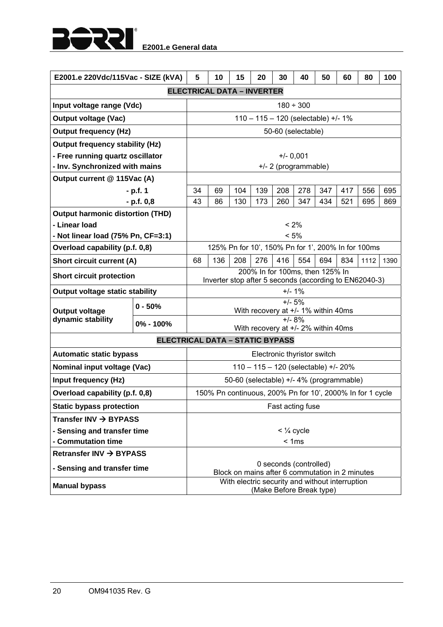

| E2001.e 220Vdc/115Vac - SIZE (kVA)                     |                                                                           | 5                    | 10  | 15                                       | 20                              | 30                                               | 40  | 50<br>80<br>100<br>60 |                                                        |                                                           |      |  |  |  |  |  |  |  |  |
|--------------------------------------------------------|---------------------------------------------------------------------------|----------------------|-----|------------------------------------------|---------------------------------|--------------------------------------------------|-----|-----------------------|--------------------------------------------------------|-----------------------------------------------------------|------|--|--|--|--|--|--|--|--|
|                                                        |                                                                           |                      |     | <b>ELECTRICAL DATA - INVERTER</b>        |                                 |                                                  |     |                       |                                                        |                                                           |      |  |  |  |  |  |  |  |  |
| Input voltage range (Vdc)                              |                                                                           |                      |     |                                          |                                 | $180 \div 300$                                   |     |                       |                                                        |                                                           |      |  |  |  |  |  |  |  |  |
| <b>Output voltage (Vac)</b>                            |                                                                           |                      |     |                                          |                                 | 110 - 115 - 120 (selectable) +/- 1%              |     |                       |                                                        |                                                           |      |  |  |  |  |  |  |  |  |
| <b>Output frequency (Hz)</b>                           |                                                                           |                      |     |                                          |                                 | 50-60 (selectable)                               |     |                       |                                                        |                                                           |      |  |  |  |  |  |  |  |  |
| <b>Output frequency stability (Hz)</b>                 |                                                                           |                      |     |                                          |                                 |                                                  |     |                       |                                                        |                                                           |      |  |  |  |  |  |  |  |  |
| - Free running quartz oscillator                       |                                                                           | $+/- 0,001$          |     |                                          |                                 |                                                  |     |                       |                                                        |                                                           |      |  |  |  |  |  |  |  |  |
| - Inv. Synchronized with mains                         |                                                                           | +/- 2 (programmable) |     |                                          |                                 |                                                  |     |                       |                                                        |                                                           |      |  |  |  |  |  |  |  |  |
| Output current @ 115Vac (A)                            |                                                                           |                      |     |                                          |                                 |                                                  |     |                       |                                                        |                                                           |      |  |  |  |  |  |  |  |  |
|                                                        | $- p.f. 1$                                                                | 34                   | 69  | 104                                      | 139                             | 208                                              | 278 | 347                   | 417                                                    | 556                                                       | 695  |  |  |  |  |  |  |  |  |
|                                                        | $- p.f. 0,8$                                                              | 43                   | 86  | 130                                      | 173                             | 260                                              | 347 | 434                   | 521                                                    | 695                                                       | 869  |  |  |  |  |  |  |  |  |
| <b>Output harmonic distortion (THD)</b>                |                                                                           |                      |     |                                          |                                 |                                                  |     |                       |                                                        |                                                           |      |  |  |  |  |  |  |  |  |
| - Linear Ioad                                          |                                                                           |                      |     |                                          |                                 | $< 2\%$                                          |     |                       |                                                        |                                                           |      |  |  |  |  |  |  |  |  |
| - Not linear load (75% Pn, CF=3:1)                     |                                                                           |                      |     |                                          |                                 | < 5%                                             |     |                       |                                                        |                                                           |      |  |  |  |  |  |  |  |  |
| Overload capability (p.f. 0,8)                         |                                                                           |                      |     |                                          |                                 |                                                  |     |                       |                                                        | 125% Pn for 10', 150% Pn for 1', 200% In for 100ms        |      |  |  |  |  |  |  |  |  |
| <b>Short circuit current (A)</b>                       |                                                                           | 68                   | 136 | 208                                      | 276                             | 416                                              | 554 | 694                   | 834                                                    | 1112                                                      | 1390 |  |  |  |  |  |  |  |  |
| <b>Short circuit protection</b>                        |                                                                           |                      |     |                                          | 200% In for 100ms, then 125% In |                                                  |     |                       | Inverter stop after 5 seconds (according to EN62040-3) |                                                           |      |  |  |  |  |  |  |  |  |
| Output voltage static stability                        |                                                                           | $+/- 1%$             |     |                                          |                                 |                                                  |     |                       |                                                        |                                                           |      |  |  |  |  |  |  |  |  |
| <b>Output voltage</b>                                  | $0 - 50%$                                                                 |                      |     |                                          |                                 | $+/- 5%$<br>With recovery at +/- 1% within 40ms  |     |                       |                                                        |                                                           |      |  |  |  |  |  |  |  |  |
| dynamic stability                                      | 0% - 100%                                                                 |                      |     |                                          |                                 | $+/- 8\%$<br>With recovery at +/- 2% within 40ms |     |                       |                                                        |                                                           |      |  |  |  |  |  |  |  |  |
|                                                        | <b>ELECTRICAL DATA - STATIC BYPASS</b>                                    |                      |     |                                          |                                 |                                                  |     |                       |                                                        |                                                           |      |  |  |  |  |  |  |  |  |
| <b>Automatic static bypass</b>                         |                                                                           |                      |     |                                          |                                 | Electronic thyristor switch                      |     |                       |                                                        |                                                           |      |  |  |  |  |  |  |  |  |
| Nominal input voltage (Vac)                            |                                                                           |                      |     |                                          |                                 | 110 - 115 - 120 (selectable) +/- 20%             |     |                       |                                                        |                                                           |      |  |  |  |  |  |  |  |  |
| <b>Input frequency (Hz)</b>                            |                                                                           |                      |     | 50-60 (selectable) +/- 4% (programmable) |                                 |                                                  |     |                       |                                                        |                                                           |      |  |  |  |  |  |  |  |  |
| Overload capability (p.f. 0,8)                         |                                                                           |                      |     |                                          |                                 |                                                  |     |                       |                                                        | 150% Pn continuous, 200% Pn for 10', 2000% In for 1 cycle |      |  |  |  |  |  |  |  |  |
| <b>Static bypass protection</b>                        |                                                                           |                      |     |                                          |                                 | Fast acting fuse                                 |     |                       |                                                        |                                                           |      |  |  |  |  |  |  |  |  |
| Transfer INV → BYPASS                                  |                                                                           |                      |     |                                          |                                 |                                                  |     |                       |                                                        |                                                           |      |  |  |  |  |  |  |  |  |
| - Sensing and transfer time<br>$<$ $\frac{1}{4}$ cycle |                                                                           |                      |     |                                          |                                 |                                                  |     |                       |                                                        |                                                           |      |  |  |  |  |  |  |  |  |
| - Commutation time                                     |                                                                           |                      |     |                                          |                                 | < 1ms                                            |     |                       |                                                        |                                                           |      |  |  |  |  |  |  |  |  |
| Retransfer INV → BYPASS                                |                                                                           |                      |     |                                          |                                 |                                                  |     |                       |                                                        |                                                           |      |  |  |  |  |  |  |  |  |
| - Sensing and transfer time                            | 0 seconds (controlled)<br>Block on mains after 6 commutation in 2 minutes |                      |     |                                          |                                 |                                                  |     |                       |                                                        |                                                           |      |  |  |  |  |  |  |  |  |
|                                                        | With electric security and without interruption                           |                      |     |                                          |                                 |                                                  |     |                       |                                                        |                                                           |      |  |  |  |  |  |  |  |  |
| <b>Manual bypass</b>                                   |                                                                           |                      |     |                                          |                                 |                                                  |     |                       |                                                        | (Make Before Break type)                                  |      |  |  |  |  |  |  |  |  |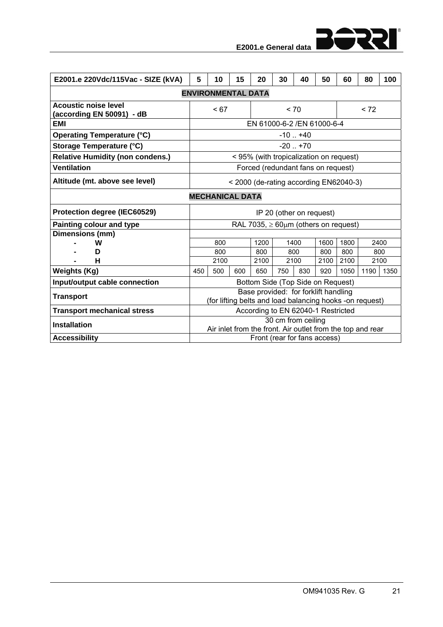

|  | E2001.e General data |  |
|--|----------------------|--|
|  |                      |  |

| E2001.e 220Vdc/115Vac - SIZE (kVA)                       | 5                                      | 10                                      | 15                        | 20                                                                                               | 30                       | 40   | 50          | 60          | 80   | 100         |
|----------------------------------------------------------|----------------------------------------|-----------------------------------------|---------------------------|--------------------------------------------------------------------------------------------------|--------------------------|------|-------------|-------------|------|-------------|
|                                                          |                                        |                                         | <b>ENVIRONMENTAL DATA</b> |                                                                                                  |                          |      |             |             |      |             |
| <b>Acoustic noise level</b><br>(according EN 50091) - dB |                                        | < 67                                    |                           |                                                                                                  | < 70                     |      |             |             | < 72 |             |
| EMI                                                      |                                        | EN 61000-6-2 / EN 61000-6-4             |                           |                                                                                                  |                          |      |             |             |      |             |
| <b>Operating Temperature (°C)</b>                        | $-10$ $+40$                            |                                         |                           |                                                                                                  |                          |      |             |             |      |             |
| Storage Temperature (°C)                                 | $-20$ $+70$                            |                                         |                           |                                                                                                  |                          |      |             |             |      |             |
| <b>Relative Humidity (non condens.)</b>                  |                                        | < 95% (with tropicalization on request) |                           |                                                                                                  |                          |      |             |             |      |             |
| <b>Ventilation</b>                                       |                                        | Forced (redundant fans on request)      |                           |                                                                                                  |                          |      |             |             |      |             |
| Altitude (mt. above see level)                           | < 2000 (de-rating according EN62040-3) |                                         |                           |                                                                                                  |                          |      |             |             |      |             |
| <b>MECHANICAL DATA</b>                                   |                                        |                                         |                           |                                                                                                  |                          |      |             |             |      |             |
| Protection degree (IEC60529)                             |                                        |                                         |                           |                                                                                                  | IP 20 (other on request) |      |             |             |      |             |
| Painting colour and type                                 |                                        |                                         |                           | RAL 7035, $\geq 60 \mu m$ (others on request)                                                    |                          |      |             |             |      |             |
| Dimensions (mm)                                          |                                        |                                         |                           |                                                                                                  |                          |      |             |             |      |             |
| w                                                        |                                        | 800                                     |                           | 1200                                                                                             |                          | 1400 | 1600        | 1800        |      | 2400        |
| D<br>н                                                   |                                        | 800<br>2100                             |                           | 800<br>2100                                                                                      | 2100                     | 800  | 800<br>2100 | 800<br>2100 |      | 800<br>2100 |
| <b>Weights (Kg)</b>                                      | 450                                    | 500                                     | 600                       | 650                                                                                              | 750                      | 830  | 920         | 1050        | 1190 | 1350        |
| Input/output cable connection                            |                                        |                                         |                           |                                                                                                  |                          |      |             |             |      |             |
|                                                          |                                        |                                         |                           | Bottom Side (Top Side on Request)                                                                |                          |      |             |             |      |             |
| <b>Transport</b>                                         |                                        |                                         |                           | Base provided: for forklift handling<br>(for lifting belts and load balancing hooks -on request) |                          |      |             |             |      |             |
| <b>Transport mechanical stress</b>                       |                                        |                                         |                           | According to EN 62040-1 Restricted                                                               |                          |      |             |             |      |             |
| <b>Installation</b>                                      |                                        |                                         |                           |                                                                                                  | 30 cm from ceiling       |      |             |             |      |             |
|                                                          |                                        |                                         |                           | Air inlet from the front. Air outlet from the top and rear                                       |                          |      |             |             |      |             |
| <b>Accessibility</b>                                     |                                        |                                         |                           | Front (rear for fans access)                                                                     |                          |      |             |             |      |             |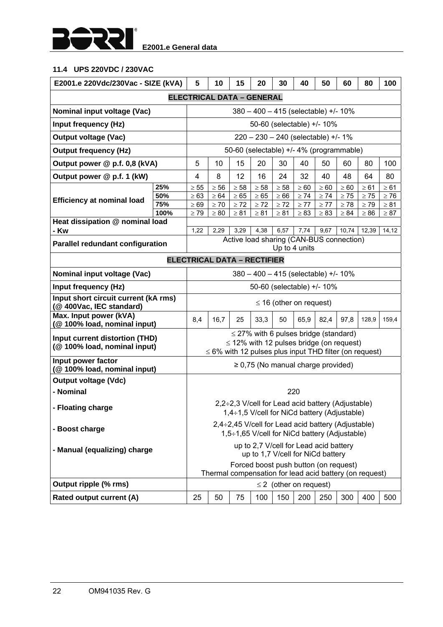

## **11.4 UPS 220VDC / 230VAC**

| E2001.e 220Vdc/230Vac - SIZE (kVA)                               |             | 5<br>40<br>10<br>15<br>20<br>30<br>50<br>60<br>80                                                |                                                             |           |                                            |                              |           |           |                                                                                                         | 100       |           |
|------------------------------------------------------------------|-------------|--------------------------------------------------------------------------------------------------|-------------------------------------------------------------|-----------|--------------------------------------------|------------------------------|-----------|-----------|---------------------------------------------------------------------------------------------------------|-----------|-----------|
|                                                                  |             |                                                                                                  | <b>ELECTRICAL DATA - GENERAL</b>                            |           |                                            |                              |           |           |                                                                                                         |           |           |
| Nominal input voltage (Vac)                                      |             |                                                                                                  |                                                             |           | 380 - 400 - 415 (selectable) +/- 10%       |                              |           |           |                                                                                                         |           |           |
| Input frequency (Hz)                                             |             |                                                                                                  |                                                             |           | 50-60 (selectable) +/- 10%                 |                              |           |           |                                                                                                         |           |           |
| <b>Output voltage (Vac)</b>                                      |             |                                                                                                  |                                                             |           | $220 - 230 - 240$ (selectable) +/- 1%      |                              |           |           |                                                                                                         |           |           |
| <b>Output frequency (Hz)</b>                                     |             |                                                                                                  |                                                             |           |                                            |                              |           |           | 50-60 (selectable) +/- 4% (programmable)                                                                |           |           |
| Output power @ p.f. 0,8 (kVA)                                    |             | 5                                                                                                | 10                                                          | 15        | 20                                         | 30                           | 40        | 50        | 60                                                                                                      | 80        | 100       |
| Output power @ p.f. 1 (kW)                                       |             | 4                                                                                                | 8                                                           | 12        | 16                                         | 24                           | 32        | 40        | 48                                                                                                      | 64        | 80        |
|                                                                  | 25%         | $\geq 55$                                                                                        | $\geq 56$                                                   | $\geq 58$ | $\geq 58$                                  | $\geq 58$                    | $\geq 60$ | $\geq 60$ | $\geq 60$                                                                                               | $\geq 61$ | $\geq 61$ |
| <b>Efficiency at nominal load</b>                                | 50%         | $\geq 63$                                                                                        | $\geq 64$                                                   | $\geq 65$ | $\geq 65$                                  | $\geq 66$                    | $\geq 74$ | $\geq 74$ | $\geq 75$                                                                                               | $\geq 75$ | $\geq 76$ |
|                                                                  | 75%<br>100% | $\geq 69$                                                                                        | $\geq 70$                                                   | $\geq 72$ | $\geq 72$                                  | $\geq 72$                    | $\geq 77$ | $\geq 77$ | $\geq 78$                                                                                               | $\geq 79$ | $\geq 81$ |
| Heat dissipation @ nominal load                                  |             | $\geq 79$                                                                                        | $\geq 80$                                                   | $\geq 81$ | $\geq 81$                                  | $\geq 81$                    | $\geq 83$ | $\geq 83$ | $\geq 84$                                                                                               | $\geq 86$ | $\geq 87$ |
| - Kw                                                             |             | 7,74<br>9,67<br>12,39<br>1,22<br>2,29<br>3,29<br>4,38<br>6,57<br>10,74                           |                                                             |           |                                            |                              |           |           |                                                                                                         | 14, 12    |           |
|                                                                  |             |                                                                                                  |                                                             |           |                                            |                              |           |           | Active load sharing (CAN-BUS connection)                                                                |           |           |
| <b>Parallel redundant configuration</b>                          |             | Up to 4 units                                                                                    |                                                             |           |                                            |                              |           |           |                                                                                                         |           |           |
|                                                                  |             |                                                                                                  | <b>ELECTRICAL DATA - RECTIFIER</b>                          |           |                                            |                              |           |           |                                                                                                         |           |           |
| Nominal input voltage (Vac)                                      |             | $380 - 400 - 415$ (selectable) +/- 10%                                                           |                                                             |           |                                            |                              |           |           |                                                                                                         |           |           |
| Input frequency (Hz)                                             |             |                                                                                                  |                                                             |           | 50-60 (selectable) +/- 10%                 |                              |           |           |                                                                                                         |           |           |
| Input short circuit current (kA rms)<br>(@ 400Vac, IEC standard) |             |                                                                                                  |                                                             |           |                                            | $\leq$ 16 (other on request) |           |           |                                                                                                         |           |           |
| Max. Input power (kVA)<br>(@ 100% load, nominal input)           |             | 8,4                                                                                              | 16,7                                                        | 25        | 33,3                                       | 50                           | 65,9      | 82,4      | 97,8                                                                                                    | 128,9     | 159,4     |
| Input current distortion (THD)<br>(@ 100% load, nominal input)   |             |                                                                                                  | $\leq$ 6% with 12 pulses plus input THD filter (on request) |           | $\leq$ 27% with 6 pulses bridge (standard) |                              |           |           | $\leq$ 12% with 12 pulses bridge (on request)                                                           |           |           |
| Input power factor<br>(@100% load, nominal input)                |             |                                                                                                  |                                                             |           | $\geq$ 0,75 (No manual charge provided)    |                              |           |           |                                                                                                         |           |           |
| <b>Output voltage (Vdc)</b>                                      |             |                                                                                                  |                                                             |           |                                            |                              |           |           |                                                                                                         |           |           |
| - Nominal                                                        |             |                                                                                                  |                                                             |           |                                            |                              | 220       |           |                                                                                                         |           |           |
| - Floating charge                                                |             |                                                                                                  |                                                             |           |                                            |                              |           |           | $2,2\div 2,3$ V/cell for Lead acid battery (Adjustable)<br>1,4÷1,5 V/cell for NiCd battery (Adjustable) |           |           |
| - Boost charge                                                   |             |                                                                                                  |                                                             |           |                                            |                              |           |           | 2,4÷2,45 V/cell for Lead acid battery (Adjustable)<br>1,5÷1,65 V/cell for NiCd battery (Adjustable)     |           |           |
| - Manual (equalizing) charge                                     |             | up to 2,7 V/cell for Lead acid battery<br>up to 1,7 V/cell for NiCd battery                      |                                                             |           |                                            |                              |           |           |                                                                                                         |           |           |
|                                                                  |             | Forced boost push button (on request)<br>Thermal compensation for lead acid battery (on request) |                                                             |           |                                            |                              |           |           |                                                                                                         |           |           |
| Output ripple (% rms)                                            |             | $\leq$ 2 (other on request)                                                                      |                                                             |           |                                            |                              |           |           |                                                                                                         |           |           |
| Rated output current (A)                                         |             | 25                                                                                               | 50                                                          | 75        | 100                                        | 150                          | 200       | 250       | 300                                                                                                     | 400       | 500       |
|                                                                  |             |                                                                                                  |                                                             |           |                                            |                              |           |           |                                                                                                         |           |           |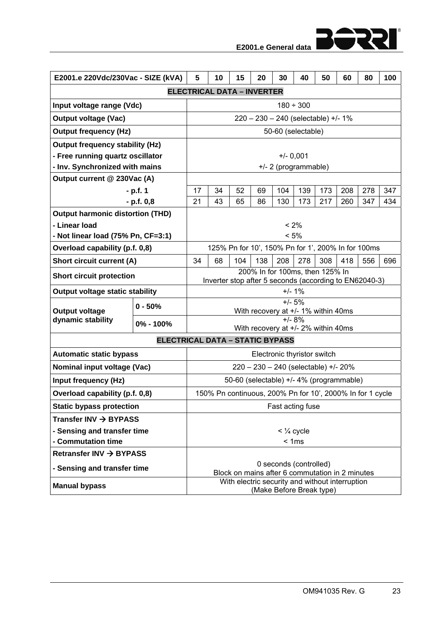| E2001.e 220Vdc/230Vac - SIZE (kVA)         |           | 5                                                                                         | 10                                       | 15                                                 | 20  | 30  | 40  | 50  | 60  | 80  | 100 |  |  |
|--------------------------------------------|-----------|-------------------------------------------------------------------------------------------|------------------------------------------|----------------------------------------------------|-----|-----|-----|-----|-----|-----|-----|--|--|
| <b>ELECTRICAL DATA - INVERTER</b>          |           |                                                                                           |                                          |                                                    |     |     |     |     |     |     |     |  |  |
| Input voltage range (Vdc)                  |           |                                                                                           | $180 \div 300$                           |                                                    |     |     |     |     |     |     |     |  |  |
| <b>Output voltage (Vac)</b>                |           | 220 - 230 - 240 (selectable) +/- 1%                                                       |                                          |                                                    |     |     |     |     |     |     |     |  |  |
| <b>Output frequency (Hz)</b>               |           | 50-60 (selectable)                                                                        |                                          |                                                    |     |     |     |     |     |     |     |  |  |
| <b>Output frequency stability (Hz)</b>     |           |                                                                                           |                                          |                                                    |     |     |     |     |     |     |     |  |  |
| - Free running quartz oscillator           |           | $+/- 0,001$                                                                               |                                          |                                                    |     |     |     |     |     |     |     |  |  |
| - Inv. Synchronized with mains             |           | +/- 2 (programmable)                                                                      |                                          |                                                    |     |     |     |     |     |     |     |  |  |
| Output current @ 230Vac (A)                |           |                                                                                           |                                          |                                                    |     |     |     |     |     |     |     |  |  |
| - p.f. 1                                   |           | 17                                                                                        | 34                                       | 52                                                 | 69  | 104 | 139 | 173 | 208 | 278 | 347 |  |  |
| $- p.f. 0,8$                               |           | 21                                                                                        | 43                                       | 65                                                 | 86  | 130 | 173 | 217 | 260 | 347 | 434 |  |  |
| <b>Output harmonic distortion (THD)</b>    |           |                                                                                           |                                          |                                                    |     |     |     |     |     |     |     |  |  |
| - Linear load                              |           | < 2%                                                                                      |                                          |                                                    |     |     |     |     |     |     |     |  |  |
| - Not linear load (75% Pn, CF=3:1)         |           | < 5%                                                                                      |                                          |                                                    |     |     |     |     |     |     |     |  |  |
| Overload capability (p.f. 0,8)             |           |                                                                                           |                                          | 125% Pn for 10', 150% Pn for 1', 200% In for 100ms |     |     |     |     |     |     |     |  |  |
| <b>Short circuit current (A)</b>           |           | 34                                                                                        | 68                                       | 104                                                | 138 | 208 | 278 | 308 | 418 | 556 | 696 |  |  |
| <b>Short circuit protection</b>            |           | 200% In for 100ms, then 125% In<br>Inverter stop after 5 seconds (according to EN62040-3) |                                          |                                                    |     |     |     |     |     |     |     |  |  |
| <b>Output voltage static stability</b>     |           | $+/- 1%$                                                                                  |                                          |                                                    |     |     |     |     |     |     |     |  |  |
| <b>Output voltage</b><br>dynamic stability | $0 - 50%$ | $+/- 5%$<br>With recovery at +/- 1% within 40ms                                           |                                          |                                                    |     |     |     |     |     |     |     |  |  |
|                                            | 0% - 100% | $+/- 8%$                                                                                  |                                          |                                                    |     |     |     |     |     |     |     |  |  |
|                                            |           | With recovery at +/- 2% within 40ms                                                       |                                          |                                                    |     |     |     |     |     |     |     |  |  |
| <b>ELECTRICAL DATA - STATIC BYPASS</b>     |           |                                                                                           |                                          |                                                    |     |     |     |     |     |     |     |  |  |
| <b>Automatic static bypass</b>             |           |                                                                                           | Electronic thyristor switch              |                                                    |     |     |     |     |     |     |     |  |  |
| Nominal input voltage (Vac)                |           | 220 - 230 - 240 (selectable) +/- 20%                                                      |                                          |                                                    |     |     |     |     |     |     |     |  |  |
| Input frequency (Hz)                       |           |                                                                                           | 50-60 (selectable) +/- 4% (programmable) |                                                    |     |     |     |     |     |     |     |  |  |
| Overload capability (p.f. 0,8)             |           | 150% Pn continuous, 200% Pn for 10', 2000% In for 1 cycle                                 |                                          |                                                    |     |     |     |     |     |     |     |  |  |
| <b>Static bypass protection</b>            |           | Fast acting fuse                                                                          |                                          |                                                    |     |     |     |     |     |     |     |  |  |
| Transfer INV $\rightarrow$ BYPASS          |           |                                                                                           |                                          |                                                    |     |     |     |     |     |     |     |  |  |
| - Sensing and transfer time                |           | $<$ $\frac{1}{4}$ cycle                                                                   |                                          |                                                    |     |     |     |     |     |     |     |  |  |
| - Commutation time                         |           | < 1ms                                                                                     |                                          |                                                    |     |     |     |     |     |     |     |  |  |
| Retransfer INV → BYPASS                    |           |                                                                                           |                                          |                                                    |     |     |     |     |     |     |     |  |  |
| - Sensing and transfer time                |           | 0 seconds (controlled)<br>Block on mains after 6 commutation in 2 minutes                 |                                          |                                                    |     |     |     |     |     |     |     |  |  |
| <b>Manual bypass</b>                       |           | With electric security and without interruption<br>(Make Before Break type)               |                                          |                                                    |     |     |     |     |     |     |     |  |  |